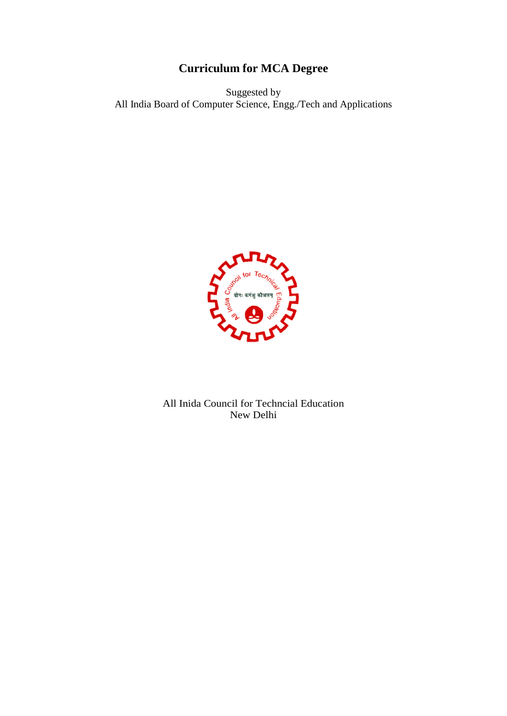# **Curriculum for MCA Degree**

Suggested by All India Board of Computer Science, Engg./Tech and Applications



All Inida Council for Techncial Education New Delhi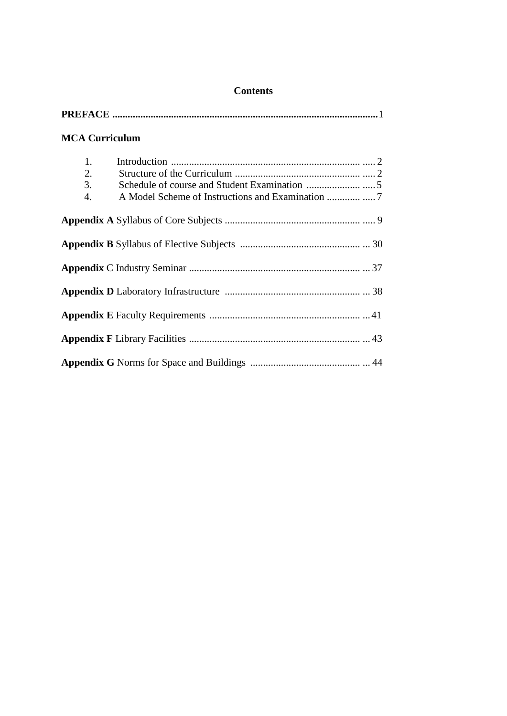| <b>MCA Curriculum</b> |  |
|-----------------------|--|
| 1.<br>2.<br>3.<br>4.  |  |
|                       |  |
|                       |  |
|                       |  |
|                       |  |
|                       |  |
|                       |  |
|                       |  |

## **Contents**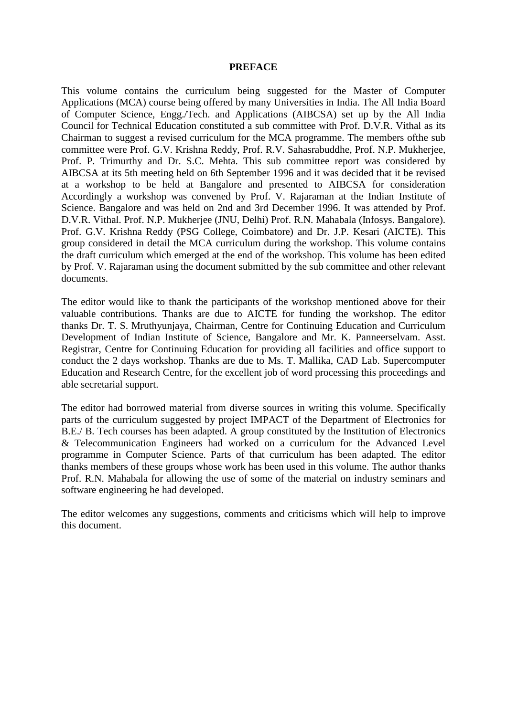#### **PREFACE**

This volume contains the curriculum being suggested for the Master of Computer Applications (MCA) course being offered by many Universities in India. The All India Board of Computer Science, Engg./Tech. and Applications (AIBCSA) set up by the All India Council for Technical Education constituted a sub committee with Prof. D.V.R. Vithal as its Chairman to suggest a revised curriculum for the MCA programme. The members ofthe sub committee were Prof. G.V. Krishna Reddy, Prof. R.V. Sahasrabuddhe, Prof. N.P. Mukherjee, Prof. P. Trimurthy and Dr. S.C. Mehta. This sub committee report was considered by AIBCSA at its 5th meeting held on 6th September 1996 and it was decided that it be revised at a workshop to be held at Bangalore and presented to AIBCSA for consideration Accordingly a workshop was convened by Prof. V. Rajaraman at the Indian Institute of Science. Bangalore and was held on 2nd and 3rd December 1996. It was attended by Prof. D.V.R. Vithal. Prof. N.P. Mukherjee (JNU, Delhi) Prof. R.N. Mahabala (Infosys. Bangalore). Prof. G.V. Krishna Reddy (PSG College, Coimbatore) and Dr. J.P. Kesari (AICTE). This group considered in detail the MCA curriculum during the workshop. This volume contains the draft curriculum which emerged at the end of the workshop. This volume has been edited by Prof. V. Rajaraman using the document submitted by the sub committee and other relevant documents.

The editor would like to thank the participants of the workshop mentioned above for their valuable contributions. Thanks are due to AICTE for funding the workshop. The editor thanks Dr. T. S. Mruthyunjaya, Chairman, Centre for Continuing Education and Curriculum Development of Indian Institute of Science, Bangalore and Mr. K. Panneerselvam. Asst. Registrar, Centre for Continuing Education for providing all facilities and office support to conduct the 2 days workshop. Thanks are due to Ms. T. Mallika, CAD Lab. Supercomputer Education and Research Centre, for the excellent job of word processing this proceedings and able secretarial support.

The editor had borrowed material from diverse sources in writing this volume. Specifically parts of the curriculum suggested by project IMPACT of the Department of Electronics for B.E./ B. Tech courses has been adapted. A group constituted by the Institution of Electronics & Telecommunication Engineers had worked on a curriculum for the Advanced Level programme in Computer Science. Parts of that curriculum has been adapted. The editor thanks members of these groups whose work has been used in this volume. The author thanks Prof. R.N. Mahabala for allowing the use of some of the material on industry seminars and software engineering he had developed.

The editor welcomes any suggestions, comments and criticisms which will help to improve this document.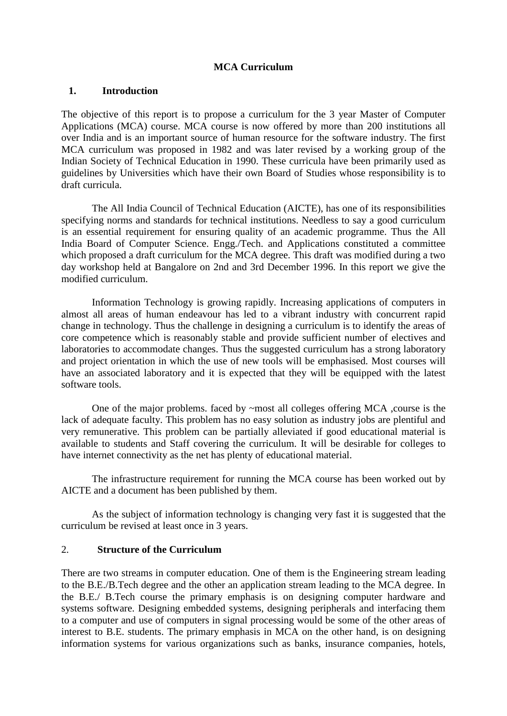## **MCA Curriculum**

### **1. Introduction**

The objective of this report is to propose a curriculum for the 3 year Master of Computer Applications (MCA) course. MCA course is now offered by more than 200 institutions all over India and is an important source of human resource for the software industry. The first MCA curriculum was proposed in 1982 and was later revised by a working group of the Indian Society of Technical Education in 1990. These curricula have been primarily used as guidelines by Universities which have their own Board of Studies whose responsibility is to draft curricula.

The All India Council of Technical Education (AICTE), has one of its responsibilities specifying norms and standards for technical institutions. Needless to say a good curriculum is an essential requirement for ensuring quality of an academic programme. Thus the All India Board of Computer Science. Engg./Tech. and Applications constituted a committee which proposed a draft curriculum for the MCA degree. This draft was modified during a two day workshop held at Bangalore on 2nd and 3rd December 1996. In this report we give the modified curriculum.

Information Technology is growing rapidly. Increasing applications of computers in almost all areas of human endeavour has led to a vibrant industry with concurrent rapid change in technology. Thus the challenge in designing a curriculum is to identify the areas of core competence which is reasonably stable and provide sufficient number of electives and laboratories to accommodate changes. Thus the suggested curriculum has a strong laboratory and project orientation in which the use of new tools will be emphasised. Most courses will have an associated laboratory and it is expected that they will be equipped with the latest software tools.

One of the major problems. faced by ~most all colleges offering MCA ,course is the lack of adequate faculty. This problem has no easy solution as industry jobs are plentiful and very remunerative. This problem can be partially alleviated if good educational material is available to students and Staff covering the curriculum. It will be desirable for colleges to have internet connectivity as the net has plenty of educational material.

The infrastructure requirement for running the MCA course has been worked out by AICTE and a document has been published by them.

As the subject of information technology is changing very fast it is suggested that the curriculum be revised at least once in 3 years.

## 2. **Structure of the Curriculum**

There are two streams in computer education. One of them is the Engineering stream leading to the B.E./B.Tech degree and the other an application stream leading to the MCA degree. In the B.E./ B.Tech course the primary emphasis is on designing computer hardware and systems software. Designing embedded systems, designing peripherals and interfacing them to a computer and use of computers in signal processing would be some of the other areas of interest to B.E. students. The primary emphasis in MCA on the other hand, is on designing information systems for various organizations such as banks, insurance companies, hotels,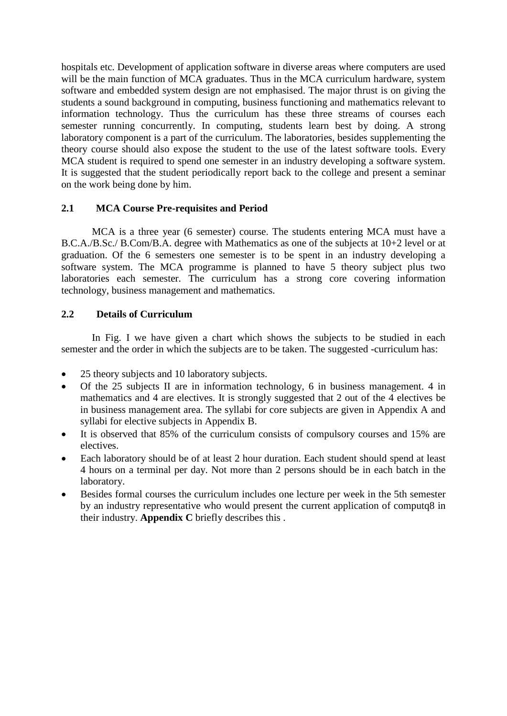hospitals etc. Development of application software in diverse areas where computers are used will be the main function of MCA graduates. Thus in the MCA curriculum hardware, system software and embedded system design are not emphasised. The major thrust is on giving the students a sound background in computing, business functioning and mathematics relevant to information technology. Thus the curriculum has these three streams of courses each semester running concurrently. In computing, students learn best by doing. A strong laboratory component is a part of the curriculum. The laboratories, besides supplementing the theory course should also expose the student to the use of the latest software tools. Every MCA student is required to spend one semester in an industry developing a software system. It is suggested that the student periodically report back to the college and present a seminar on the work being done by him.

## **2.1 MCA Course Pre-requisites and Period**

MCA is a three year (6 semester) course. The students entering MCA must have a B.C.A./B.Sc./ B.Com/B.A. degree with Mathematics as one of the subjects at 10+2 level or at graduation. Of the 6 semesters one semester is to be spent in an industry developing a software system. The MCA programme is planned to have 5 theory subject plus two laboratories each semester. The curriculum has a strong core covering information technology, business management and mathematics.

## **2.2 Details of Curriculum**

In Fig. I we have given a chart which shows the subjects to be studied in each semester and the order in which the subjects are to be taken. The suggested -curriculum has:

- 25 theory subjects and 10 laboratory subjects.
- Of the 25 subjects II are in information technology, 6 in business management. 4 in mathematics and 4 are electives. It is strongly suggested that 2 out of the 4 electives be in business management area. The syllabi for core subjects are given in Appendix A and syllabi for elective subjects in Appendix B.
- It is observed that 85% of the curriculum consists of compulsory courses and 15% are electives.
- Each laboratory should be of at least 2 hour duration. Each student should spend at least 4 hours on a terminal per day. Not more than 2 persons should be in each batch in the laboratory.
- Besides formal courses the curriculum includes one lecture per week in the 5th semester by an industry representative who would present the current application of computq8 in their industry. **Appendix C** briefly describes this .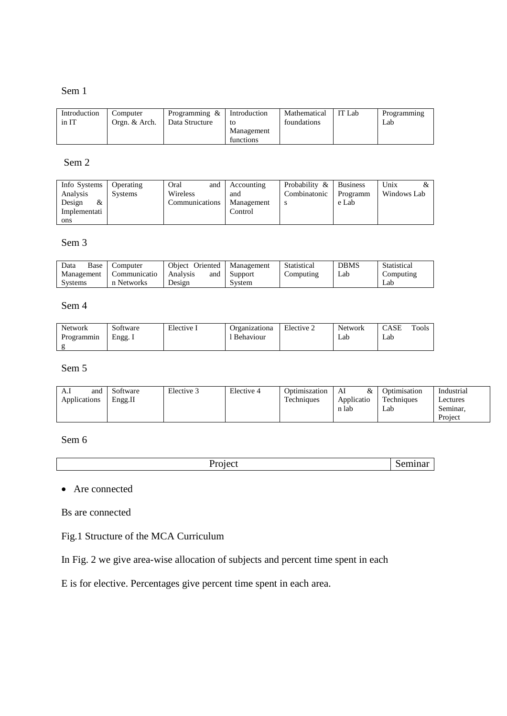## Sem 1

| Introduction | Computer      | Programming $\&$ | Introduction | Mathematical | IT Lab | Programming |
|--------------|---------------|------------------|--------------|--------------|--------|-------------|
| in IT        | Orgn. & Arch. | Data Structure   | tΩ           | foundations  |        | Lab         |
|              |               |                  | Management   |              |        |             |
|              |               |                  | functions    |              |        |             |

## Sem 2

| Info Systems | Operating | Oral<br>and    | Accounting | Probability & | <b>Business</b> | Unix        |
|--------------|-----------|----------------|------------|---------------|-----------------|-------------|
| Analysis     | Systems   | Wireless       | and        | Combinatonic  | Programm        | Windows Lab |
| Design<br>&  |           | Communications | Management |               | e Lab           |             |
| Implementati |           |                | Control    |               |                 |             |
| ons          |           |                |            |               |                 |             |

## Sem 3

| Base<br>Data   | Computer     | Object Oriented | Management     | Statistical | <b>DBMS</b> | Statistical |
|----------------|--------------|-----------------|----------------|-------------|-------------|-------------|
| Management     | Communicatio | Analysis<br>and | <b>Support</b> | Computing   | Lab         | Computing   |
| <b>Systems</b> | n Networks   | Design          | System         |             |             | Lab         |

## Sem 4

| <b>Network</b> | software | Elective 1 | Organizationa | Elective $\angle$ | Network | <b>CASE</b> | Tools |
|----------------|----------|------------|---------------|-------------------|---------|-------------|-------|
| Programmin     | Engg.    |            | Behaviour     |                   | -abـ    | Lab         |       |
|                |          |            |               |                   |         |             |       |

## Sem 5

| A.I<br>and   | Software | Elective 3 | Elective 4 | Optimiszation | &<br>Al    | Optimisation | Industrial            |
|--------------|----------|------------|------------|---------------|------------|--------------|-----------------------|
| Applications | Engg.II  |            |            | Techniques    | Applicatio | Techniques   | $\mathcal{L}$ ectures |
|              |          |            |            |               | n lab      | Lab          | Seminar.              |
|              |          |            |            |               |            |              | Project               |

## Sem 6

## • Are connected

Bs are connected

## Fig.1 Structure of the MCA Curriculum

In Fig. 2 we give area-wise allocation of subjects and percent time spent in each

E is for elective. Percentages give percent time spent in each area.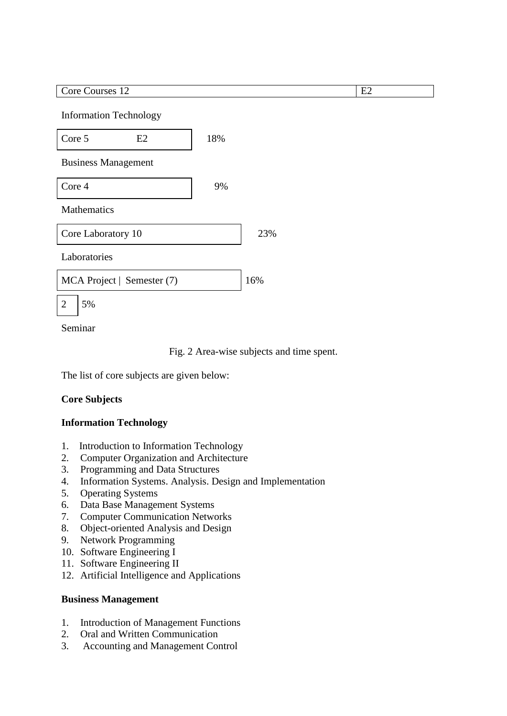Core Courses 12 E2

Information Technology

| Core 5<br>E2               | 18% |     |
|----------------------------|-----|-----|
| <b>Business Management</b> |     |     |
| Core 4                     | 9%  |     |
| <b>Mathematics</b>         |     |     |
| Core Laboratory 10         |     | 23% |
| Laboratories               |     |     |
| MCA Project   Semester (7) |     | 16% |
| 5%<br>$\overline{2}$       |     |     |

Seminar

Fig. 2 Area-wise subjects and time spent.

The list of core subjects are given below:

## **Core Subjects**

## **Information Technology**

- 1. Introduction to Information Technology
- 2. Computer Organization and Architecture
- 3. Programming and Data Structures
- 4. Information Systems. Analysis. Design and Implementation
- 5. Operating Systems
- 6. Data Base Management Systems
- 7. Computer Communication Networks
- 8. Object-oriented Analysis and Design
- 9. Network Programming
- 10. Software Engineering I
- 11. Software Engineering II
- 12. Artificial Intelligence and Applications

## **Business Management**

- 1. Introduction of Management Functions
- 2. Oral and Written Communication
- 3. Accounting and Management Control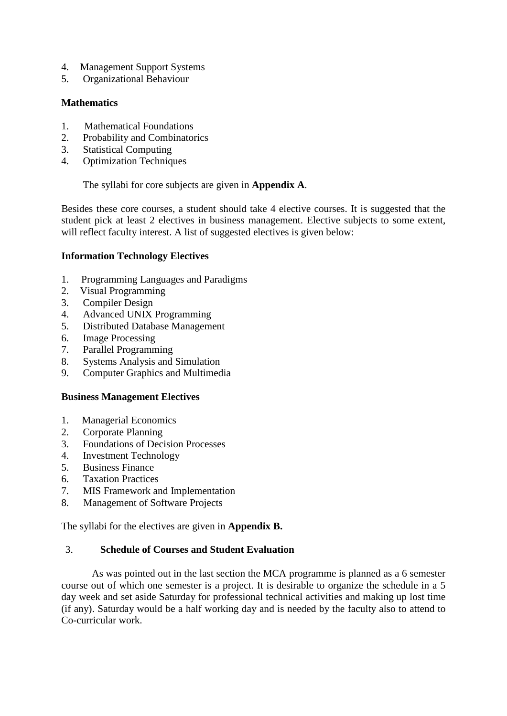- 4. Management Support Systems
- 5. Organizational Behaviour

## **Mathematics**

- 1. Mathematical Foundations
- 2. Probability and Combinatorics
- 3. Statistical Computing
- 4. Optimization Techniques

The syllabi for core subjects are given in **Appendix A**.

Besides these core courses, a student should take 4 elective courses. It is suggested that the student pick at least 2 electives in business management. Elective subjects to some extent, will reflect faculty interest. A list of suggested electives is given below:

## **Information Technology Electives**

- 1. Programming Languages and Paradigms
- 2. Visual Programming
- 3. Compiler Design
- 4. Advanced UNIX Programming
- 5. Distributed Database Management
- 6. Image Processing
- 7. Parallel Programming
- 8. Systems Analysis and Simulation
- 9. Computer Graphics and Multimedia

## **Business Management Electives**

- 1. Managerial Economics
- 2. Corporate Planning
- 3. Foundations of Decision Processes
- 4. Investment Technology
- 5. Business Finance
- 6. Taxation Practices
- 7. MIS Framework and Implementation
- 8. Management of Software Projects

The syllabi for the electives are given in **Appendix B.**

## 3. **Schedule of Courses and Student Evaluation**

As was pointed out in the last section the MCA programme is planned as a 6 semester course out of which one semester is a project. It is desirable to organize the schedule in a 5 day week and set aside Saturday for professional technical activities and making up lost time (if any). Saturday would be a half working day and is needed by the faculty also to attend to Co-curricular work.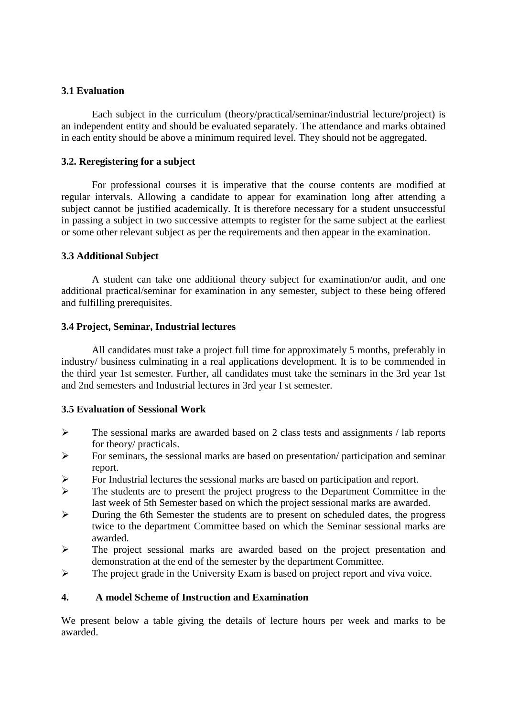## **3.1 Evaluation**

Each subject in the curriculum (theory/practical/seminar/industrial lecture/project) is an independent entity and should be evaluated separately. The attendance and marks obtained in each entity should be above a minimum required level. They should not be aggregated.

## **3.2. Reregistering for a subject**

For professional courses it is imperative that the course contents are modified at regular intervals. Allowing a candidate to appear for examination long after attending a subject cannot be justified academically. It is therefore necessary for a student unsuccessful in passing a subject in two successive attempts to register for the same subject at the earliest or some other relevant subject as per the requirements and then appear in the examination.

## **3.3 Additional Subject**

A student can take one additional theory subject for examination/or audit, and one additional practical/seminar for examination in any semester, subject to these being offered and fulfilling prerequisites.

## **3.4 Project, Seminar, Industrial lectures**

All candidates must take a project full time for approximately 5 months, preferably in industry/ business culminating in a real applications development. It is to be commended in the third year 1st semester. Further, all candidates must take the seminars in the 3rd year 1st and 2nd semesters and Industrial lectures in 3rd year I st semester.

## **3.5 Evaluation of Sessional Work**

- $\triangleright$  The sessional marks are awarded based on 2 class tests and assignments / lab reports for theory/ practicals.
- $\triangleright$  For seminars, the sessional marks are based on presentation/ participation and seminar report.
- $\triangleright$  For Industrial lectures the sessional marks are based on participation and report.
- $\triangleright$  The students are to present the project progress to the Department Committee in the last week of 5th Semester based on which the project sessional marks are awarded.
- During the 6th Semester the students are to present on scheduled dates, the progress twice to the department Committee based on which the Seminar sessional marks are awarded.
- The project sessional marks are awarded based on the project presentation and demonstration at the end of the semester by the department Committee.
- $\triangleright$  The project grade in the University Exam is based on project report and viva voice.

## **4. A model Scheme of Instruction and Examination**

We present below a table giving the details of lecture hours per week and marks to be awarded.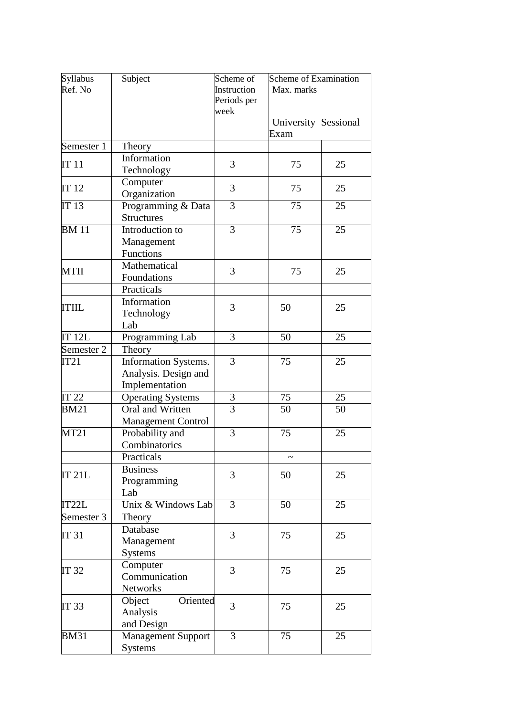| Syllabus<br>Ref. No | Subject                                                        | Scheme of<br>Instruction<br>Periods per<br>week | <b>Scheme of Examination</b><br>Max. marks |    |
|---------------------|----------------------------------------------------------------|-------------------------------------------------|--------------------------------------------|----|
|                     |                                                                |                                                 | University Sessional<br>Exam               |    |
| Semester 1          | Theory                                                         |                                                 |                                            |    |
| <b>IT 11</b>        | Information<br>Technology                                      | 3                                               | 75                                         | 25 |
| <b>IT 12</b>        | Computer<br>Organization                                       | 3                                               | 75                                         | 25 |
| IT 13               | Programming & Data<br><b>Structures</b>                        | 3                                               | 75                                         | 25 |
| <b>BM</b> 11        | Introduction to<br>Management<br>Functions                     | 3                                               | 75                                         | 25 |
| <b>MTII</b>         | Mathematical<br>Foundations                                    | 3                                               | 75                                         | 25 |
| <b>ITIIL</b>        | Practicals<br>Information<br>Technology<br>Lab                 | 3                                               | 50                                         | 25 |
| <b>IT 12L</b>       | Programming Lab                                                | 3                                               | 50                                         | 25 |
| Semester 2          | Theory                                                         |                                                 |                                            |    |
| IT21                | Information Systems.<br>Analysis. Design and<br>Implementation | 3                                               | 75                                         | 25 |
| IT 22               | <b>Operating Systems</b>                                       | $\mathfrak{Z}$                                  | 75                                         | 25 |
| <b>BM21</b>         | Oral and Written<br><b>Management Control</b>                  | $\overline{3}$                                  | 50                                         | 50 |
| MT21                | Probability and<br>Combinatorics                               | 3                                               | 75                                         | 25 |
|                     | Practicals                                                     |                                                 | $\tilde{\phantom{a}}$                      |    |
| <b>IT 21L</b>       | <b>Business</b><br>Programming<br>Lab                          | 3                                               | 50                                         | 25 |
| IT22L               | Unix & Windows Lab                                             | 3                                               | 50                                         | 25 |
| Semester 3          | Theory                                                         |                                                 |                                            |    |
| IT 31               | Database<br>Management<br><b>Systems</b>                       | 3                                               | 75                                         | 25 |
| <b>IT 32</b>        | Computer<br>Communication<br><b>Networks</b>                   | 3                                               | 75                                         | 25 |
| IT 33               | Oriented<br>Object<br>Analysis<br>and Design                   | 3                                               | 75                                         | 25 |
| <b>BM31</b>         | <b>Management Support</b><br>Systems                           | 3                                               | 75                                         | 25 |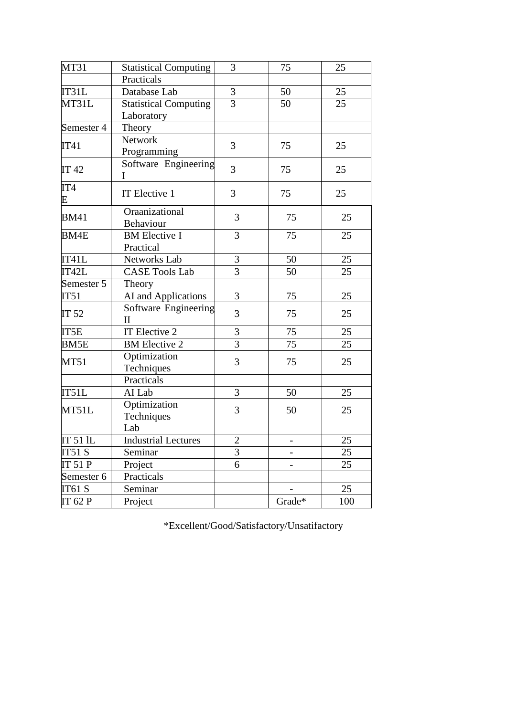| $\overline{MT31}$ | <b>Statistical Computing</b> | 3              | 75     | 25  |
|-------------------|------------------------------|----------------|--------|-----|
|                   | Practicals                   |                |        |     |
| IT31L             | Database Lab                 | $\mathfrak{Z}$ | 50     | 25  |
| MT31L             | <b>Statistical Computing</b> | $\overline{3}$ | 50     | 25  |
|                   | Laboratory                   |                |        |     |
| Semester 4        | Theory                       |                |        |     |
|                   | <b>Network</b>               | 3              |        |     |
| <b>IT41</b>       | Programming                  |                | 75     | 25  |
| <b>IT 42</b>      | Software Engineering         | 3              | 75     | 25  |
|                   | I                            |                |        |     |
| IT4               | IT Elective 1                | 3              | 75     | 25  |
| E                 |                              |                |        |     |
| <b>BM41</b>       | Oraanizational               | 3              | 75     | 25  |
|                   | Behaviour                    |                |        |     |
| BM4E              | <b>BM</b> Elective I         | 3              | 75     | 25  |
|                   | Practical                    |                |        |     |
| IT41L             | Networks Lab                 | $\mathfrak{Z}$ | 50     | 25  |
| IT42L             | <b>CASE Tools Lab</b>        | $\overline{3}$ | 50     | 25  |
| Semester 5        | Theory                       |                |        |     |
| IT51              | AI and Applications          | 3              | 75     | 25  |
| IT 52             | Software Engineering         | 3              | 75     | 25  |
|                   | $\mathbf{I}$                 |                |        |     |
| IT5E              | IT Elective 2                | $\mathfrak{Z}$ | 75     | 25  |
| <b>BM5E</b>       | <b>BM</b> Elective 2         | $\overline{3}$ | 75     | 25  |
| <b>MT51</b>       | Optimization                 | 3              | 75     | 25  |
|                   | Techniques                   |                |        |     |
|                   | Practicals                   |                |        |     |
| IT51L             | AI Lab                       | 3              | 50     | 25  |
| MT51L             | Optimization                 | 3              | 50     | 25  |
|                   | Techniques                   |                |        |     |
|                   | Lab                          |                |        |     |
| IT 51 IL          | <b>Industrial Lectures</b>   | $\overline{2}$ |        | 25  |
| IT51S             | Seminar                      | 3              |        | 25  |
| <b>IT 51 P</b>    | Project                      | 6              |        | 25  |
| Semester 6        | Practicals                   |                |        |     |
| <b>IT61 S</b>     | Seminar                      |                |        | 25  |
| <b>IT 62 P</b>    | Project                      |                | Grade* | 100 |
|                   |                              |                |        |     |

\*Excellent/Good/Satisfactory/Unsatifactory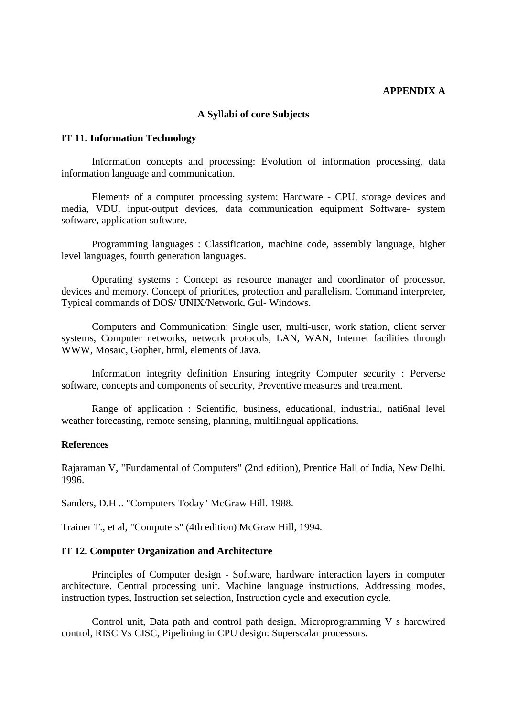#### **APPENDIX A**

#### **A Syllabi of core Subjects**

### **IT 11. Information Technology**

Information concepts and processing: Evolution of information processing, data information language and communication.

Elements of a computer processing system: Hardware - CPU, storage devices and media, VDU, input-output devices, data communication equipment Software- system software, application software.

Programming languages : Classification, machine code, assembly language, higher level languages, fourth generation languages.

Operating systems : Concept as resource manager and coordinator of processor, devices and memory. Concept of priorities, protection and parallelism. Command interpreter, Typical commands of DOS/ UNIX/Network, Gul- Windows.

Computers and Communication: Single user, multi-user, work station, client server systems, Computer networks, network protocols, LAN, WAN, Internet facilities through WWW, Mosaic, Gopher, html, elements of Java.

Information integrity definition Ensuring integrity Computer security : Perverse software, concepts and components of security, Preventive measures and treatment.

Range of application : Scientific, business, educational, industrial, national level weather forecasting, remote sensing, planning, multilingual applications.

### **References**

Rajaraman V, "Fundamental of Computers" (2nd edition), Prentice Hall of India, New Delhi. 1996.

Sanders, D.H .. "Computers Today" McGraw Hill. 1988.

Trainer T., et al, "Computers" (4th edition) McGraw Hill, 1994.

#### **IT 12. Computer Organization and Architecture**

Principles of Computer design - Software, hardware interaction layers in computer architecture. Central processing unit. Machine language instructions, Addressing modes, instruction types, Instruction set selection, Instruction cycle and execution cycle.

Control unit, Data path and control path design, Microprogramming V s hardwired control, RISC Vs CISC, Pipelining in CPU design: Superscalar processors.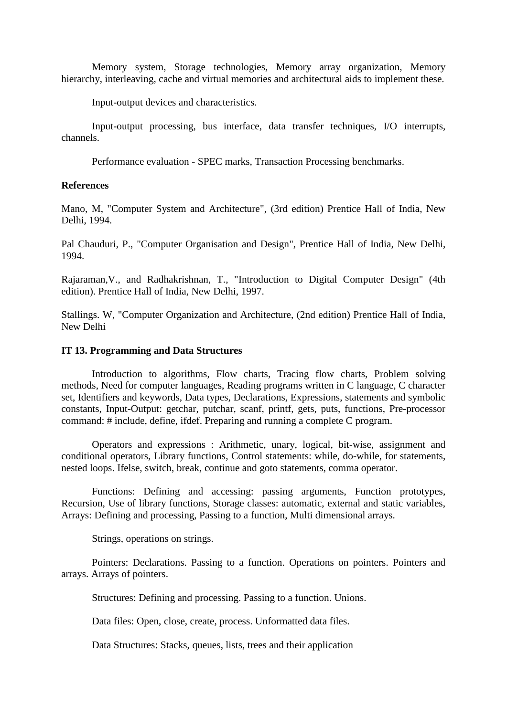Memory system, Storage technologies, Memory array organization, Memory hierarchy, interleaving, cache and virtual memories and architectural aids to implement these.

Input-output devices and characteristics.

Input-output processing, bus interface, data transfer techniques, I/O interrupts, channels.

Performance evaluation - SPEC marks, Transaction Processing benchmarks.

#### **References**

Mano, M, "Computer System and Architecture", (3rd edition) Prentice Hall of India, New Delhi, 1994.

Pal Chauduri, P., "Computer Organisation and Design", Prentice Hall of India, New Delhi, 1994.

Rajaraman,V., and Radhakrishnan, T., "Introduction to Digital Computer Design" (4th edition). Prentice Hall of India, New Delhi, 1997.

Stallings. W, "Computer Organization and Architecture, (2nd edition) Prentice Hall of India, New Delhi

#### **IT 13. Programming and Data Structures**

Introduction to algorithms, Flow charts, Tracing flow charts, Problem solving methods, Need for computer languages, Reading programs written in C language, C character set, Identifiers and keywords, Data types, Declarations, Expressions, statements and symbolic constants, Input-Output: getchar, putchar, scanf, printf, gets, puts, functions, Pre-processor command: # include, define, ifdef. Preparing and running a complete C program.

Operators and expressions : Arithmetic, unary, logical, bit-wise, assignment and conditional operators, Library functions, Control statements: while, do-while, for statements, nested loops. Ifelse, switch, break, continue and goto statements, comma operator.

Functions: Defining and accessing: passing arguments, Function prototypes, Recursion, Use of library functions, Storage classes: automatic, external and static variables, Arrays: Defining and processing, Passing to a function, Multi dimensional arrays.

Strings, operations on strings.

Pointers: Declarations. Passing to a function. Operations on pointers. Pointers and arrays. Arrays of pointers.

Structures: Defining and processing. Passing to a function. Unions.

Data files: Open, close, create, process. Unformatted data files.

Data Structures: Stacks, queues, lists, trees and their application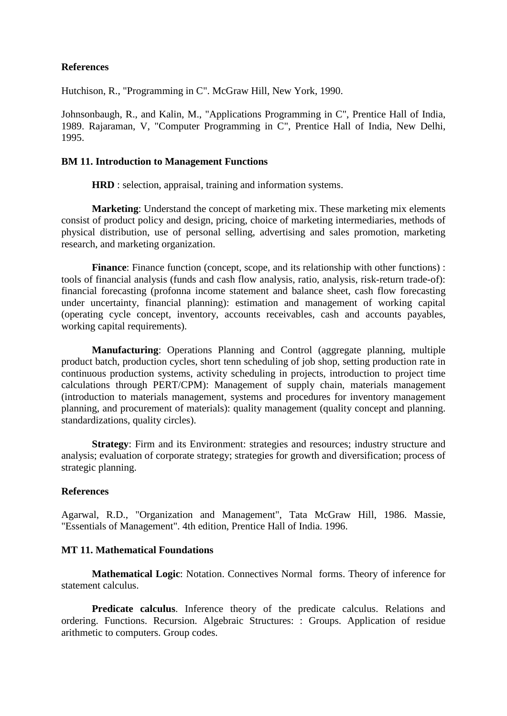## **References**

Hutchison, R., "Programming in C". McGraw Hill, New York, 1990.

Johnsonbaugh, R., and Kalin, M., "Applications Programming in C", Prentice Hall of India, 1989. Rajaraman, V, "Computer Programming in C", Prentice Hall of India, New Delhi, 1995.

## **BM 11. Introduction to Management Functions**

**HRD** : selection, appraisal, training and information systems.

**Marketing**: Understand the concept of marketing mix. These marketing mix elements consist of product policy and design, pricing, choice of marketing intermediaries, methods of physical distribution, use of personal selling, advertising and sales promotion, marketing research, and marketing organization.

**Finance**: Finance function (concept, scope, and its relationship with other functions) : tools of financial analysis (funds and cash flow analysis, ratio, analysis, risk-return trade-of): financial forecasting (profonna income statement and balance sheet, cash flow forecasting under uncertainty, financial planning): estimation and management of working capital (operating cycle concept, inventory, accounts receivables, cash and accounts payables, working capital requirements).

**Manufacturing**: Operations Planning and Control (aggregate planning, multiple product batch, production cycles, short tenn scheduling of job shop, setting production rate in continuous production systems, activity scheduling in projects, introduction to project time calculations through PERT/CPM): Management of supply chain, materials management (introduction to materials management, systems and procedures for inventory management planning, and procurement of materials): quality management (quality concept and planning. standardizations, quality circles).

**Strategy**: Firm and its Environment: strategies and resources; industry structure and analysis; evaluation of corporate strategy; strategies for growth and diversification; process of strategic planning.

## **References**

Agarwal, R.D., "Organization and Management", Tata McGraw Hill, 1986. Massie, "Essentials of Management". 4th edition, Prentice Hall of India. 1996.

## **MT 11. Mathematical Foundations**

**Mathematical Logic**: Notation. Connectives Normal forms. Theory of inference for statement calculus.

**Predicate calculus**. Inference theory of the predicate calculus. Relations and ordering. Functions. Recursion. Algebraic Structures: : Groups. Application of residue arithmetic to computers. Group codes.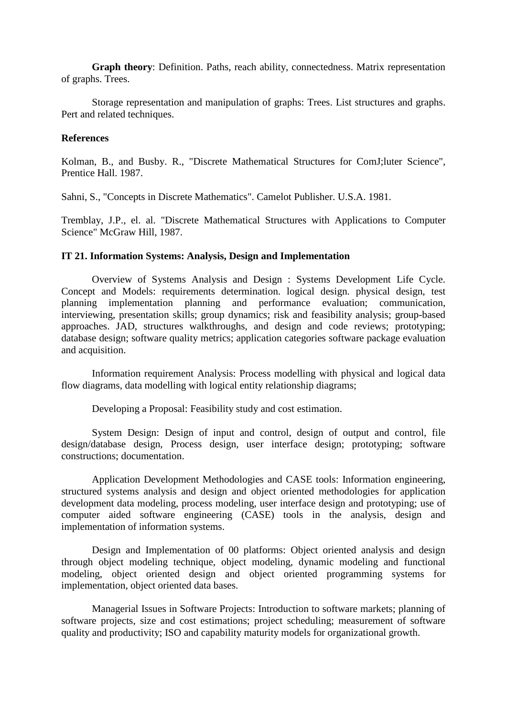**Graph theory**: Definition. Paths, reach ability, connectedness. Matrix representation of graphs. Trees.

Storage representation and manipulation of graphs: Trees. List structures and graphs. Pert and related techniques.

### **References**

Kolman, B., and Busby. R., "Discrete Mathematical Structures for ComJ;luter Science", Prentice Hall. 1987.

Sahni, S., "Concepts in Discrete Mathematics". Camelot Publisher. U.S.A. 1981.

Tremblay, J.P., el. al. "Discrete Mathematical Structures with Applications to Computer Science" McGraw Hill, 1987.

### **IT 21. Information Systems: Analysis, Design and Implementation**

Overview of Systems Analysis and Design : Systems Development Life Cycle. Concept and Models: requirements determination. logical design. physical design, test planning implementation planning and performance evaluation; communication, interviewing, presentation skills; group dynamics; risk and feasibility analysis; group-based approaches. JAD, structures walkthroughs, and design and code reviews; prototyping; database design; software quality metrics; application categories software package evaluation and acquisition.

Information requirement Analysis: Process modelling with physical and logical data flow diagrams, data modelling with logical entity relationship diagrams;

Developing a Proposal: Feasibility study and cost estimation.

System Design: Design of input and control, design of output and control, file design/database design, Process design, user interface design; prototyping; software constructions; documentation.

Application Development Methodologies and CASE tools: Information engineering, structured systems analysis and design and object oriented methodologies for application development data modeling, process modeling, user interface design and prototyping; use of computer aided software engineering (CASE) tools in the analysis, design and implementation of information systems.

Design and Implementation of 00 platforms: Object oriented analysis and design through object modeling technique, object modeling, dynamic modeling and functional modeling, object oriented design and object oriented programming systems for implementation, object oriented data bases.

Managerial Issues in Software Projects: Introduction to software markets; planning of software projects, size and cost estimations; project scheduling; measurement of software quality and productivity; ISO and capability maturity models for organizational growth.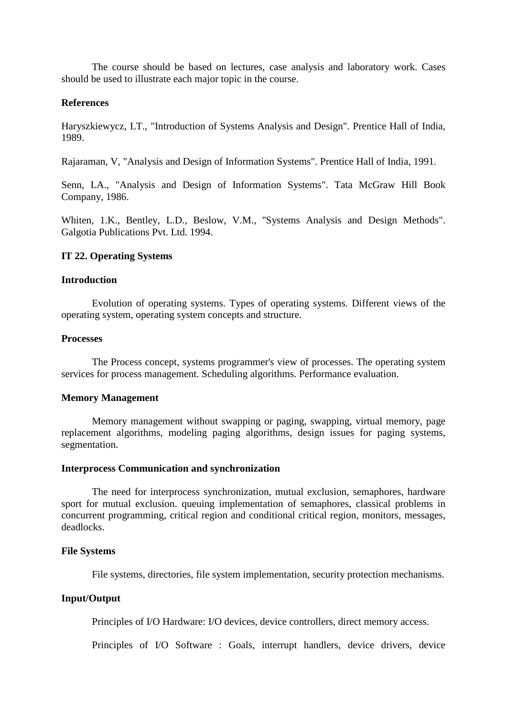The course should be based on lectures, case analysis and laboratory work. Cases should be used to illustrate each major topic in the course.

#### **References**

Haryszkiewycz, LT., "Introduction of Systems Analysis and Design". Prentice Hall of India, 1989.

Rajaraman, V, "Analysis and Design of Information Systems". Prentice Hall of India, 1991.

Senn, LA., "Analysis and Design of Information Systems". Tata McGraw Hill Book Company, 1986.

Whiten, 1.K., Bentley, L.D., Beslow, V.M., ''Systems Analysis and Design Methods". Galgotia Publications Pvt. Ltd. 1994.

### **IT 22. Operating Systems**

### **Introduction**

Evolution of operating systems. Types of operating systems. Different views of the operating system, operating system concepts and structure.

#### **Processes**

The Process concept, systems programmer's view of processes. The operating system services for process management. Scheduling algorithms. Performance evaluation.

#### **Memory Management**

Memory management without swapping or paging, swapping, virtual memory, page replacement algorithms, modeling paging algorithms, design issues for paging systems, segmentation.

#### **Interprocess Communication and synchronization**

The need for interprocess synchronization, mutual exclusion, semaphores, hardware sport for mutual exclusion. queuing implementation of semaphores, classical problems in concurrent programming, critical region and conditional critical region, monitors, messages, deadlocks.

#### **File Systems**

File systems, directories, file system implementation, security protection mechanisms.

#### **Input/Output**

Principles of I/O Hardware: I/O devices, device controllers, direct memory access.

Principles of I/O Software : Goals, interrupt handlers, device drivers, device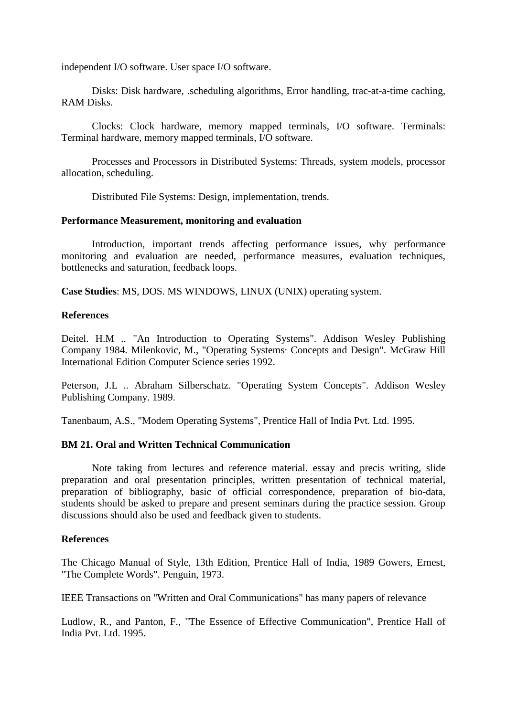independent I/O software. User space I/O software.

Disks: Disk hardware, .scheduling algorithms, Error handling, trac-at-a-time caching, RAM Disks.

Clocks: Clock hardware, memory mapped terminals, I/O software. Terminals: Terminal hardware, memory mapped terminals, I/O software.

Processes and Processors in Distributed Systems: Threads, system models, processor allocation, scheduling.

Distributed File Systems: Design, implementation, trends.

### **Performance Measurement, monitoring and evaluation**

Introduction, important trends affecting performance issues, why performance monitoring and evaluation are needed, performance measures, evaluation techniques, bottlenecks and saturation, feedback loops.

**Case Studies**: MS, DOS. MS WINDOWS, LINUX (UNIX) operating system.

### **References**

Deitel. H.M .. "An Introduction to Operating Systems". Addison Wesley Publishing Company 1984. Milenkovic, M., "Operating Systems· Concepts and Design". McGraw Hill International Edition Computer Science series 1992.

Peterson, J.L .. Abraham Silberschatz. "Operating System Concepts". Addison Wesley Publishing Company. 1989.

Tanenbaum, A.S., "Modem Operating Systems", Prentice Hall of India Pvt. Ltd. 1995.

## **BM 21. Oral and Written Technical Communication**

Note taking from lectures and reference material. essay and precis writing, slide preparation and oral presentation principles, written presentation of technical material, preparation of bibliography, basic of official correspondence, preparation of bio-data, students should be asked to prepare and present seminars during the practice session. Group discussions should also be used and feedback given to students.

## **References**

The Chicago Manual of Style, 13th Edition, Prentice Hall of India, 1989 Gowers, Ernest, "The Complete Words". Penguin, 1973.

IEEE Transactions on ''Written and Oral Communications" has many papers of relevance

Ludlow, R., and Panton, F., "The Essence of Effective Communication", Prentice Hall of India Pvt. Ltd. 1995.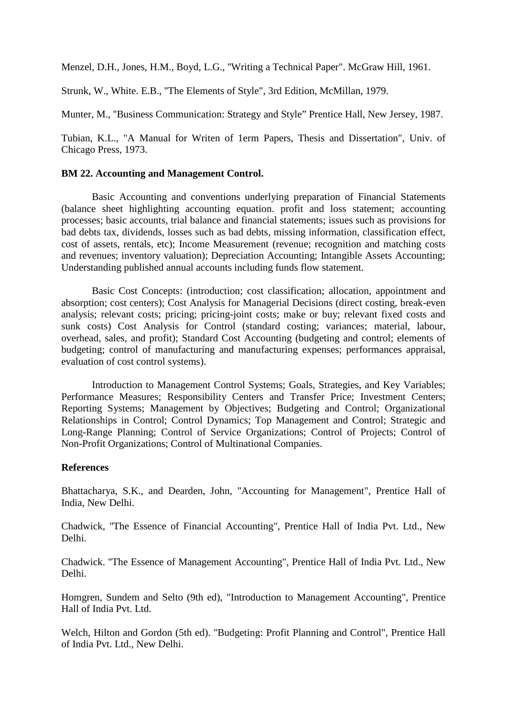Menzel, D.H., Jones, H.M., Boyd, L.G., ''Writing a Technical Paper". McGraw Hill, 1961.

Strunk, W., White. E.B., ''The Elements of Style", 3rd Edition, McMillan, 1979.

Munter, M., ''Business Communication: Strategy and Style" Prentice Hall, New Jersey, 1987.

Tubian, K.L., "A Manual for Writen of 1erm Papers, Thesis and Dissertation", Univ. of Chicago Press, 1973.

### **BM 22. Accounting and Management Control.**

Basic Accounting and conventions underlying preparation of Financial Statements (balance sheet highlighting accounting equation. profit and loss statement; accounting processes; basic accounts, trial balance and financial statements; issues such as provisions for bad debts tax, dividends, losses such as bad debts, missing information, classification effect, cost of assets, rentals, etc); Income Measurement (revenue; recognition and matching costs and revenues; inventory valuation); Depreciation Accounting; Intangible Assets Accounting; Understanding published annual accounts including funds flow statement.

Basic Cost Concepts: (introduction; cost classification; allocation, appointment and absorption; cost centers); Cost Analysis for Managerial Decisions (direct costing, break-even analysis; relevant costs; pricing; pricing-joint costs; make or buy; relevant fixed costs and sunk costs) Cost Analysis for Control (standard costing; variances; material, labour, overhead, sales, and profit); Standard Cost Accounting (budgeting and control; elements of budgeting; control of manufacturing and manufacturing expenses; performances appraisal, evaluation of cost control systems).

Introduction to Management Control Systems; Goals, Strategies, and Key Variables; Performance Measures; Responsibility Centers and Transfer Price; Investment Centers; Reporting Systems; Management by Objectives; Budgeting and Control; Organizational Relationships in Control; Control Dynamics; Top Management and Control; Strategic and Long-Range Planning; Control of Service Organizations; Control of Projects; Control of Non-Profit Organizations; Control of Multinational Companies.

#### **References**

Bhattacharya, S.K., and Dearden, John, "Accounting for Management", Prentice Hall of India, New Delhi.

Chadwick, ''The Essence of Financial Accounting", Prentice Hall of India Pvt. Ltd., New Delhi.

Chadwick. ''The Essence of Management Accounting", Prentice Hall of India Pvt. Ltd., New Delhi.

Homgren, Sundem and Selto (9th ed), "Introduction to Management Accounting", Prentice Hall of India Pvt. Ltd.

Welch, Hilton and Gordon (5th ed). ''Budgeting: Profit Planning and Control", Prentice Hall of India Pvt. Ltd., New Delhi.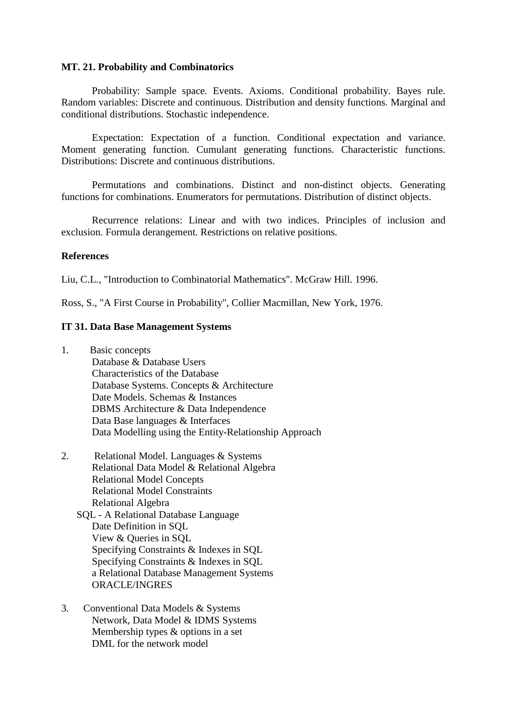### **MT. 21. Probability and Combinatorics**

Probability: Sample space. Events. Axioms. Conditional probability. Bayes rule. Random variables: Discrete and continuous. Distribution and density functions. Marginal and conditional distributions. Stochastic independence.

Expectation: Expectation of a function. Conditional expectation and variance. Moment generating function. Cumulant generating functions. Characteristic functions. Distributions: Discrete and continuous distributions.

Permutations and combinations. Distinct and non-distinct objects. Generating functions for combinations. Enumerators for permutations. Distribution of distinct objects.

Recurrence relations: Linear and with two indices. Principles of inclusion and exclusion. Formula derangement. Restrictions on relative positions.

### **References**

Liu, C.L., "Introduction to Combinatorial Mathematics". McGraw Hill. 1996.

Ross, S., "A First Course in Probability", Collier Macmillan, New York, 1976.

## **IT 31. Data Base Management Systems**

- 1. Basic concepts Database & Database Users Characteristics of the Database Database Systems. Concepts & Architecture Date Models. Schemas & Instances DBMS Architecture & Data Independence Data Base languages & Interfaces Data Modelling using the Entity-Relationship Approach
- 2. Relational Model. Languages & Systems Relational Data Model & Relational Algebra Relational Model Concepts Relational Model Constraints Relational Algebra SQL - A Relational Database Language Date Definition in SQL View & Queries in SQL Specifying Constraints & Indexes in SQL Specifying Constraints & Indexes in SQL
	- a Relational Database Management Systems ORACLE/INGRES
- 3. Conventional Data Models & Systems Network, Data Model & IDMS Systems Membership types & options in a set DML for the network model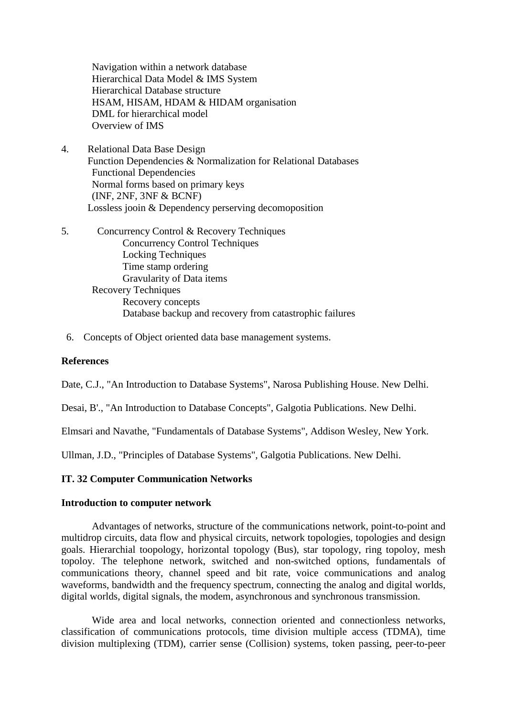Navigation within a network database Hierarchical Data Model & IMS System Hierarchical Database structure HSAM, HISAM, HDAM & HIDAM organisation DML for hierarchical model Overview of IMS

- 4. Relational Data Base Design Function Dependencies & Normalization for Relational Databases Functional Dependencies Normal forms based on primary keys (INF, 2NF, 3NF & BCNF) Lossless jooin & Dependency perserving decomoposition
- 5. Concurrency Control & Recovery Techniques Concurrency Control Techniques Locking Techniques Time stamp ordering Gravularity of Data items Recovery Techniques Recovery concepts Database backup and recovery from catastrophic failures
	- 6. Concepts of Object oriented data base management systems.

## **References**

Date, C.J., "An Introduction to Database Systems", Narosa Publishing House. New Delhi.

Desai, B'., "An Introduction to Database Concepts", Galgotia Publications. New Delhi.

Elmsari and Navathe, "Fundamentals of Database Systems", Addison Wesley, New York.

Ullman, J.D., "Principles of Database Systems", Galgotia Publications. New Delhi.

## **IT. 32 Computer Communication Networks**

#### **Introduction to computer network**

Advantages of networks, structure of the communications network, point-to-point and multidrop circuits, data flow and physical circuits, network topologies, topologies and design goals. Hierarchial toopology, horizontal topology (Bus), star topology, ring topoloy, mesh topoloy. The telephone network, switched and non-switched options, fundamentals of communications theory, channel speed and bit rate, voice communications and analog waveforms, bandwidth and the frequency spectrum, connecting the analog and digital worlds, digital worlds, digital signals, the modem, asynchronous and synchronous transmission.

Wide area and local networks, connection oriented and connectionless networks, classification of communications protocols, time division multiple access (TDMA), time division multiplexing (TDM), carrier sense (Collision) systems, token passing, peer-to-peer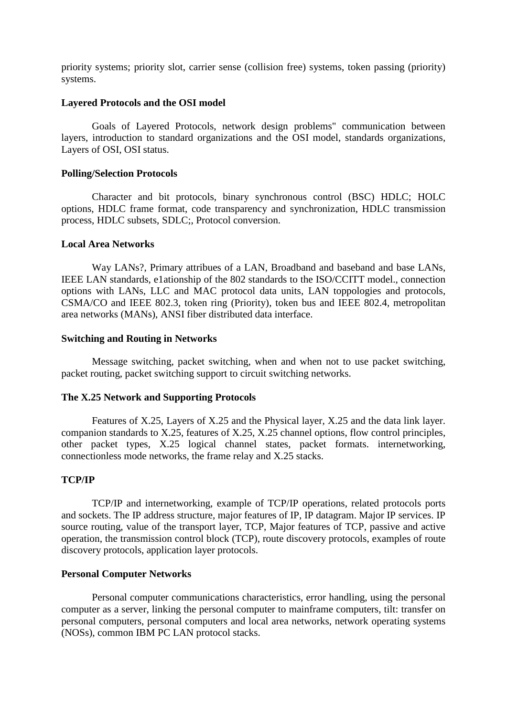priority systems; priority slot, carrier sense (collision free) systems, token passing (priority) systems.

#### **Layered Protocols and the OSI model**

Goals of Layered Protocols, network design problems" communication between layers, introduction to standard organizations and the OSI model, standards organizations, Layers of OSI, OSI status.

### **Polling/Selection Protocols**

Character and bit protocols, binary synchronous control (BSC) HDLC; HOLC options, HDLC frame format, code transparency and synchronization, HDLC transmission process, HDLC subsets, SDLC;, Protocol conversion.

#### **Local Area Networks**

Way LANs?, Primary attribues of a LAN, Broadband and baseband and base LANs, IEEE LAN standards, e1ationship of the 802 standards to the ISO/CCITT model., connection options with LANs, LLC and MAC protocol data units, LAN toppologies and protocols, CSMA/CO and IEEE 802.3, token ring (Priority), token bus and IEEE 802.4, metropolitan area networks (MANs), ANSI fiber distributed data interface.

#### **Switching and Routing in Networks**

Message switching, packet switching, when and when not to use packet switching, packet routing, packet switching support to circuit switching networks.

#### **The X.25 Network and Supporting Protocols**

Features of X.25, Layers of X.25 and the Physical layer, X.25 and the data link layer. companion standards to X.25, features of X.25, X.25 channel options, flow control principles, other packet types, X.25 logical channel states, packet formats. internetworking, connectionless mode networks, the frame relay and X.25 stacks.

## **TCP/IP**

TCP/IP and internetworking, example of TCP/IP operations, related protocols ports and sockets. The IP address structure, major features of IP, IP datagram. Major IP services. IP source routing, value of the transport layer, TCP, Major features of TCP, passive and active operation, the transmission control block (TCP), route discovery protocols, examples of route discovery protocols, application layer protocols.

#### **Personal Computer Networks**

Personal computer communications characteristics, error handling, using the personal computer as a server, linking the personal computer to mainframe computers, tilt: transfer on personal computers, personal computers and local area networks, network operating systems (NOSs), common IBM PC LAN protocol stacks.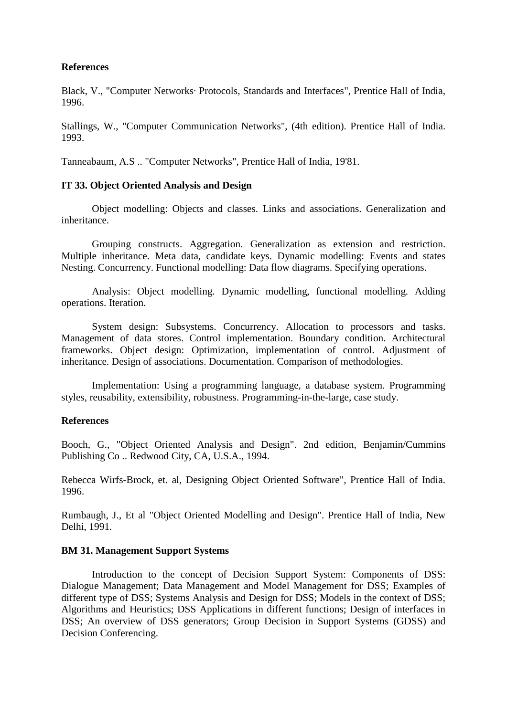## **References**

Black, V., "Computer Networks· Protocols, Standards and Interfaces", Prentice Hall of India, 1996.

Stallings, W., "Computer Communication Networks", (4th edition). Prentice Hall of India. 1993.

Tanneabaum, A.S .. "Computer Networks", Prentice Hall of India, 19'81.

## **IT 33. Object Oriented Analysis and Design**

Object modelling: Objects and classes. Links and associations. Generalization and inheritance.

Grouping constructs. Aggregation. Generalization as extension and restriction. Multiple inheritance. Meta data, candidate keys. Dynamic modelling: Events and states Nesting. Concurrency. Functional modelling: Data flow diagrams. Specifying operations.

Analysis: Object modelling. Dynamic modelling, functional modelling. Adding operations. Iteration.

System design: Subsystems. Concurrency. Allocation to processors and tasks. Management of data stores. Control implementation. Boundary condition. Architectural frameworks. Object design: Optimization, implementation of control. Adjustment of inheritance. Design of associations. Documentation. Comparison of methodologies.

Implementation: Using a programming language, a database system. Programming styles, reusability, extensibility, robustness. Programming-in-the-large, case study.

## **References**

Booch, G., "Object Oriented Analysis and Design". 2nd edition, Benjamin/Cummins Publishing Co .. Redwood City, CA, U.S.A., 1994.

Rebecca Wirfs-Brock, et. al, Designing Object Oriented Software", Prentice Hall of India. 1996.

Rumbaugh, J., Et al "Object Oriented Modelling and Design". Prentice Hall of India, New Delhi, 1991.

## **BM 31. Management Support Systems**

Introduction to the concept of Decision Support System: Components of DSS: Dialogue Management; Data Management and Model Management for DSS; Examples of different type of DSS; Systems Analysis and Design for DSS; Models in the context of DSS; Algorithms and Heuristics; DSS Applications in different functions; Design of interfaces in DSS; An overview of DSS generators; Group Decision in Support Systems (GDSS) and Decision Conferencing.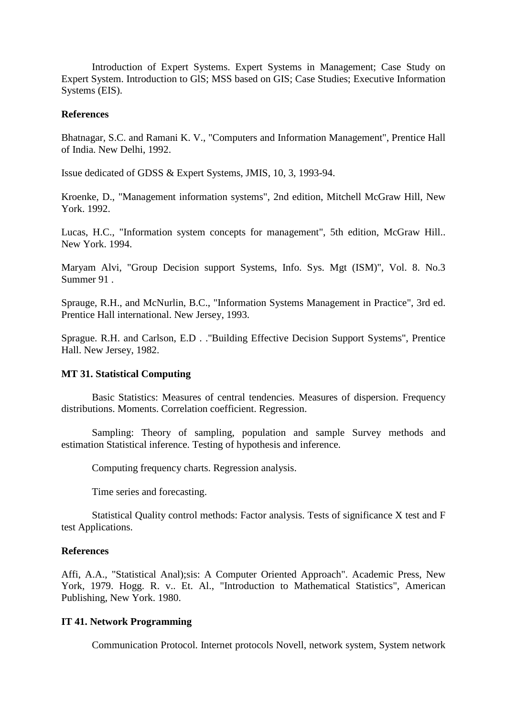Introduction of Expert Systems. Expert Systems in Management; Case Study on Expert System. Introduction to GlS; MSS based on GIS; Case Studies; Executive Information Systems (EIS).

#### **References**

Bhatnagar, S.C. and Ramani K. V., "Computers and Information Management", Prentice Hall of India. New Delhi, 1992.

Issue dedicated of GDSS & Expert Systems, JMIS, 10, 3, 1993-94.

Kroenke, D., "Management information systems", 2nd edition, Mitchell McGraw Hill, New York. 1992.

Lucas, H.C., "Information system concepts for management", 5th edition, McGraw Hill.. New York. 1994.

Maryam Alvi, "Group Decision support Systems, Info. Sys. Mgt (ISM)", Vol. 8. No.3 Summer 91 .

Sprauge, R.H., and McNurlin, B.C., "Information Systems Management in Practice", 3rd ed. Prentice Hall international. New Jersey, 1993.

Sprague. R.H. and Carlson, E.D . .''Building Effective Decision Support Systems", Prentice Hall. New Jersey, 1982.

#### **MT 31. Statistical Computing**

Basic Statistics: Measures of central tendencies. Measures of dispersion. Frequency distributions. Moments. Correlation coefficient. Regression.

Sampling: Theory of sampling, population and sample Survey methods and estimation Statistical inference. Testing of hypothesis and inference.

Computing frequency charts. Regression analysis.

Time series and forecasting.

Statistical Quality control methods: Factor analysis. Tests of significance X test and F test Applications.

#### **References**

Affi, A.A., "Statistical Anal);sis: A Computer Oriented Approach". Academic Press, New York, 1979. Hogg. R. v.. Et. Al., "Introduction to Mathematical Statistics", American Publishing, New York. 1980.

### **IT 41. Network Programming**

Communication Protocol. Internet protocols Novell, network system, System network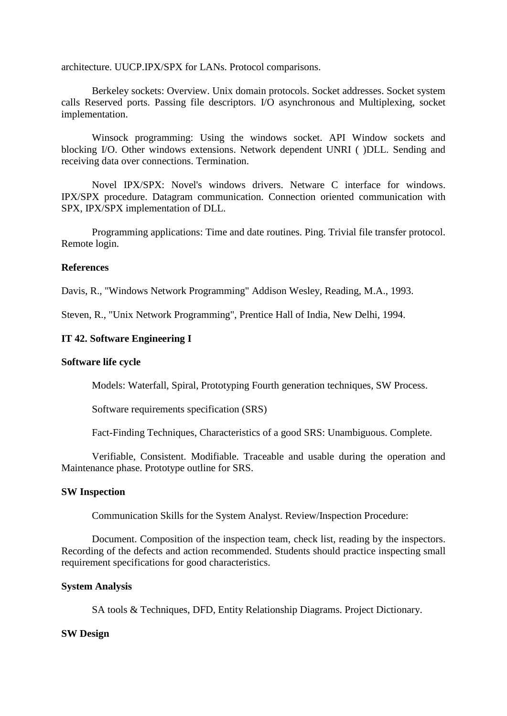architecture. UUCP.IPX/SPX for LANs. Protocol comparisons.

Berkeley sockets: Overview. Unix domain protocols. Socket addresses. Socket system calls Reserved ports. Passing file descriptors. I/O asynchronous and Multiplexing, socket implementation.

Winsock programming: Using the windows socket. API Window sockets and blocking I/O. Other windows extensions. Network dependent UNRI ( )DLL. Sending and receiving data over connections. Termination.

Novel IPX/SPX: Novel's windows drivers. Netware C interface for windows. IPX/SPX procedure. Datagram communication. Connection oriented communication with SPX, IPX/SPX implementation of DLL.

Programming applications: Time and date routines. Ping. Trivial file transfer protocol. Remote login.

### **References**

Davis, R., "Windows Network Programming" Addison Wesley, Reading, M.A., 1993.

Steven, R., "Unix Network Programming", Prentice Hall of India, New Delhi, 1994.

### **IT 42. Software Engineering I**

#### **Software life cycle**

Models: Waterfall, Spiral, Prototyping Fourth generation techniques, SW Process.

Software requirements specification (SRS)

Fact-Finding Techniques, Characteristics of a good SRS: Unambiguous. Complete.

Verifiable, Consistent. Modifiable. Traceable and usable during the operation and Maintenance phase. Prototype outline for SRS.

#### **SW Inspection**

Communication Skills for the System Analyst. Review/Inspection Procedure:

Document. Composition of the inspection team, check list, reading by the inspectors. Recording of the defects and action recommended. Students should practice inspecting small requirement specifications for good characteristics.

### **System Analysis**

SA tools & Techniques, DFD, Entity Relationship Diagrams. Project Dictionary.

#### **SW Design**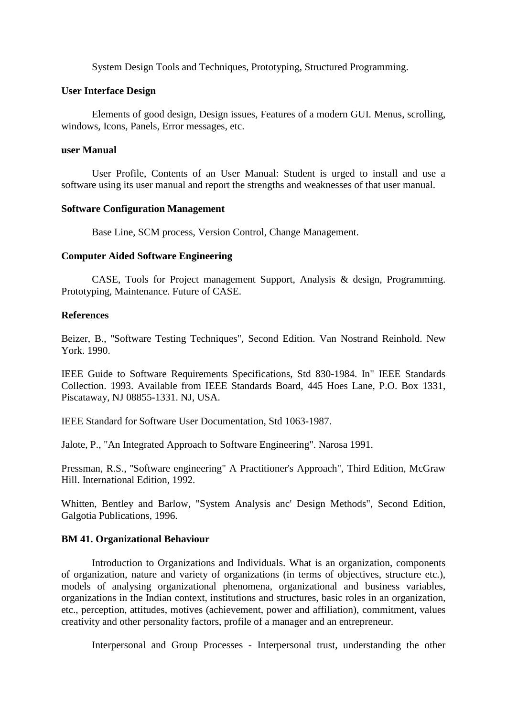System Design Tools and Techniques, Prototyping, Structured Programming.

### **User Interface Design**

Elements of good design, Design issues, Features of a modern GUI. Menus, scrolling, windows, Icons, Panels, Error messages, etc.

### **user Manual**

User Profile, Contents of an User Manual: Student is urged to install and use a software using its user manual and report the strengths and weaknesses of that user manual.

## **Software Configuration Management**

Base Line, SCM process, Version Control, Change Management.

## **Computer Aided Software Engineering**

CASE, Tools for Project management Support, Analysis & design, Programming. Prototyping, Maintenance. Future of CASE.

## **References**

Beizer, B., ''Software Testing Techniques", Second Edition. Van Nostrand Reinhold. New York. 1990.

IEEE Guide to Software Requirements Specifications, Std 830-1984. In" IEEE Standards Collection. 1993. Available from IEEE Standards Board, 445 Hoes Lane, P.O. Box 1331, Piscataway, NJ 08855-1331. NJ, USA.

IEEE Standard for Software User Documentation, Std 1063-1987.

Jalote, P., "An Integrated Approach to Software Engineering". Narosa 1991.

Pressman, R.S., ''Software engineering" A Practitioner's Approach", Third Edition, McGraw Hill. International Edition, 1992.

Whitten, Bentley and Barlow, "System Analysis anc' Design Methods", Second Edition, Galgotia Publications, 1996.

## **BM 41. Organizational Behaviour**

Introduction to Organizations and Individuals. What is an organization, components of organization, nature and variety of organizations (in terms of objectives, structure etc.), models of analysing organizational phenomena, organizational and business variables, organizations in the Indian context, institutions and structures, basic roles in an organization, etc., perception, attitudes, motives (achievement, power and affiliation), commitment, values creativity and other personality factors, profile of a manager and an entrepreneur.

Interpersonal and Group Processes - Interpersonal trust, understanding the other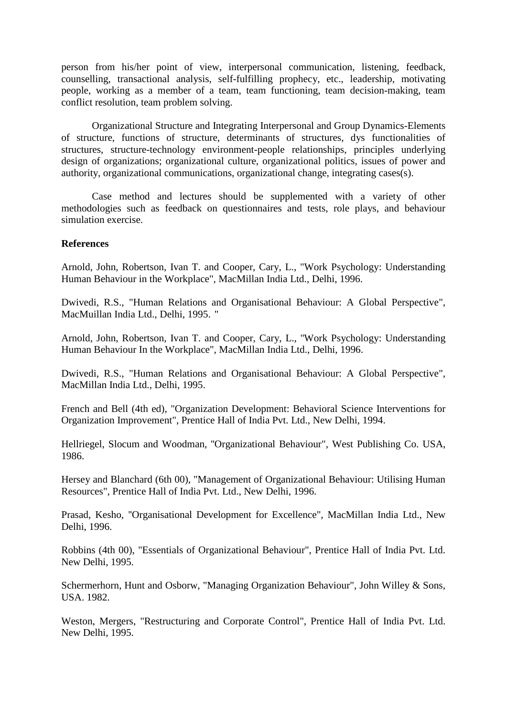person from his/her point of view, interpersonal communication, listening, feedback, counselling, transactional analysis, self-fulfilling prophecy, etc., leadership, motivating people, working as a member of a team, team functioning, team decision-making, team conflict resolution, team problem solving.

Organizational Structure and Integrating Interpersonal and Group Dynamics-Elements of structure, functions of structure, determinants of structures, dys functionalities of structures, structure-technology environment-people relationships, principles underlying design of organizations; organizational culture, organizational politics, issues of power and authority, organizational communications, organizational change, integrating cases(s).

Case method and lectures should be supplemented with a variety of other methodologies such as feedback on questionnaires and tests, role plays, and behaviour simulation exercise.

## **References**

Arnold, John, Robertson, Ivan T. and Cooper, Cary, L., "Work Psychology: Understanding Human Behaviour in the Workplace", MacMillan India Ltd., Delhi, 1996.

Dwivedi, R.S., "Human Relations and Organisational Behaviour: A Global Perspective", MacMuillan India Ltd., Delhi, 1995. "

Arnold, John, Robertson, Ivan T. and Cooper, Cary, L., ''Work Psychology: Understanding Human Behaviour In the Workplace", MacMillan India Ltd., Delhi, 1996.

Dwivedi, R.S., "Human Relations and Organisational Behaviour: A Global Perspective", MacMillan India Ltd., Delhi, 1995.

French and Bell (4th ed), "Organization Development: Behavioral Science Interventions for Organization Improvement", Prentice Hall of India Pvt. Ltd., New Delhi, 1994.

Hellriegel, Slocum and Woodman, ''Organizational Behaviour", West Publishing Co. USA, 1986.

Hersey and Blanchard (6th 00), "Management of Organizational Behaviour: Utilising Human Resources", Prentice Hall of India Pvt. Ltd., New Delhi, 1996.

Prasad, Kesho, ''Organisational Development for Excellence", MacMillan India Ltd., New Delhi, 1996.

Robbins (4th 00), "Essentials of Organizational Behaviour", Prentice Hall of India Pvt. Ltd. New Delhi, 1995.

Schermerhorn, Hunt and Osborw, "Managing Organization Behaviour", John Willey & Sons, USA. 1982.

Weston, Mergers, "Restructuring and Corporate Control", Prentice Hall of India Pvt. Ltd. New Delhi, 1995.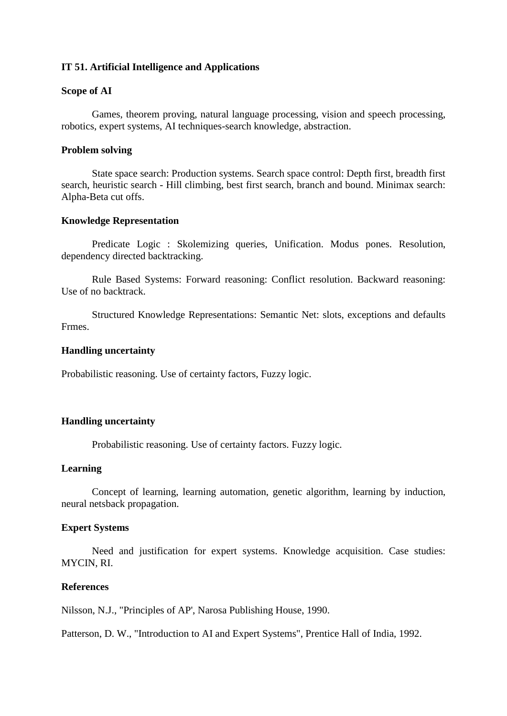## **IT 51. Artificial Intelligence and Applications**

#### **Scope of AI**

Games, theorem proving, natural language processing, vision and speech processing, robotics, expert systems, AI techniques-search knowledge, abstraction.

#### **Problem solving**

State space search: Production systems. Search space control: Depth first, breadth first search, heuristic search - Hill climbing, best first search, branch and bound. Minimax search: Alpha-Beta cut offs.

### **Knowledge Representation**

Predicate Logic : Skolemizing queries, Unification. Modus pones. Resolution, dependency directed backtracking.

Rule Based Systems: Forward reasoning: Conflict resolution. Backward reasoning: Use of no backtrack.

Structured Knowledge Representations: Semantic Net: slots, exceptions and defaults Frmes.

#### **Handling uncertainty**

Probabilistic reasoning. Use of certainty factors, Fuzzy logic.

### **Handling uncertainty**

Probabilistic reasoning. Use of certainty factors. Fuzzy logic.

#### **Learning**

Concept of learning, learning automation, genetic algorithm, learning by induction, neural netsback propagation.

### **Expert Systems**

Need and justification for expert systems. Knowledge acquisition. Case studies: MYCIN, RI.

#### **References**

Nilsson, N.J., "Principles of AP', Narosa Publishing House, 1990.

Patterson, D. W., "Introduction to AI and Expert Systems", Prentice Hall of India, 1992.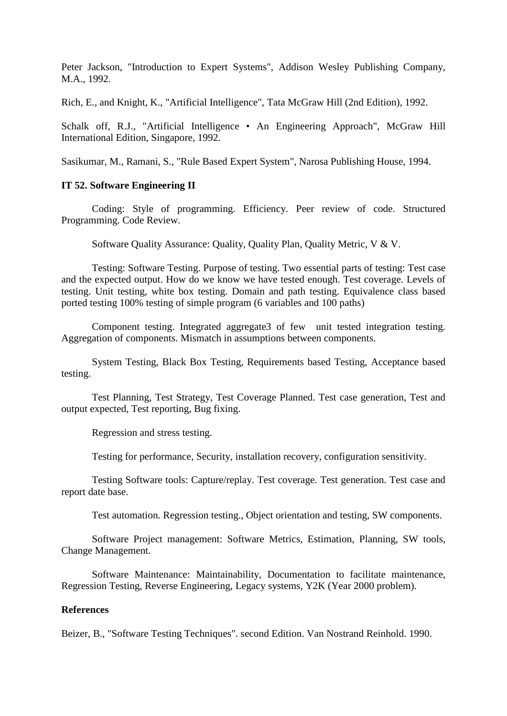Peter Jackson, "Introduction to Expert Systems", Addison Wesley Publishing Company, M.A., 1992.

Rich, E., and Knight, K., "Artificial Intelligence", Tata McGraw Hill (2nd Edition), 1992.

Schalk off, R.J., "Artificial Intelligence • An Engineering Approach", McGraw Hill International Edition, Singapore, 1992.

Sasikumar, M., Ramani, S., "Rule Based Expert System", Narosa Publishing House, 1994.

#### **IT 52. Software Engineering II**

Coding: Style of programming. Efficiency. Peer review of code. Structured Programming. Code Review.

Software Quality Assurance: Quality, Quality Plan, Quality Metric, V & V.

Testing: Software Testing. Purpose of testing. Two essential parts of testing: Test case and the expected output. How do we know we have tested enough. Test coverage. Levels of testing. Unit testing, white box testing. Domain and path testing. Equivalence class based ported testing 100% testing of simple program (6 variables and 100 paths)

Component testing. Integrated aggregate3 of few unit tested integration testing. Aggregation of components. Mismatch in assumptions between components.

System Testing, Black Box Testing, Requirements based Testing, Acceptance based testing.

Test Planning, Test Strategy, Test Coverage Planned. Test case generation, Test and output expected, Test reporting, Bug fixing.

Regression and stress testing.

Testing for performance, Security, installation recovery, configuration sensitivity.

Testing Software tools: Capture/replay. Test coverage. Test generation. Test case and report date base.

Test automation. Regression testing., Object orientation and testing, SW components.

Software Project management: Software Metrics, Estimation, Planning, SW tools, Change Management.

Software Maintenance: Maintainability, Documentation to facilitate maintenance, Regression Testing, Reverse Engineering, Legacy systems, Y2K (Year 2000 problem).

## **References**

Beizer, B., "Software Testing Techniques". second Edition. Van Nostrand Reinhold. 1990.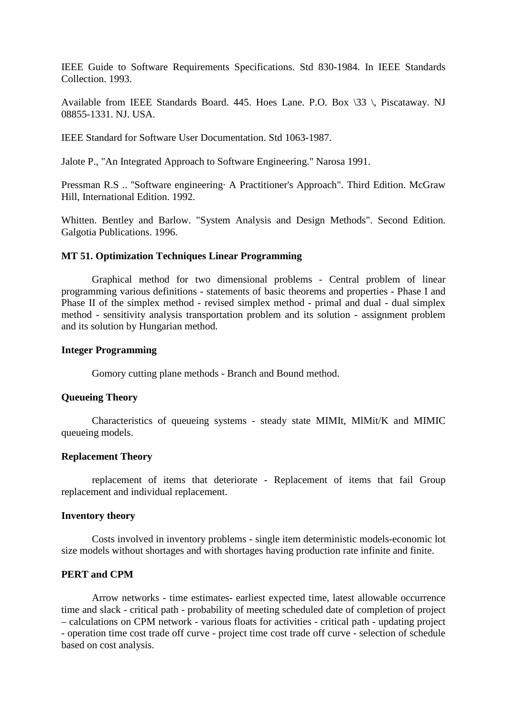IEEE Guide to Software Requirements Specifications. Std 830-1984. In IEEE Standards Collection. 1993.

Available from IEEE Standards Board. 445. Hoes Lane. P.O. Box \33 \, Piscataway. NJ 08855-1331. NJ. USA.

IEEE Standard for Software User Documentation. Std 1063-1987.

Jalote P., "An Integrated Approach to Software Engineering." Narosa 1991.

Pressman R.S .. ''Software engineering· A Practitioner's Approach". Third Edition. McGraw Hill, International Edition. 1992.

Whitten. Bentley and Barlow. "System Analysis and Design Methods". Second Edition. Galgotia Publications. 1996.

## **MT 51. Optimization Techniques Linear Programming**

Graphical method for two dimensional problems - Central problem of linear programming various definitions - statements of basic theorems and properties - Phase I and Phase II of the simplex method - revised simplex method - primal and dual - dual simplex method - sensitivity analysis transportation problem and its solution - assignment problem and its solution by Hungarian method.

#### **Integer Programming**

Gomory cutting plane methods - Branch and Bound method.

### **Queueing Theory**

Characteristics of queueing systems - steady state MIMIt, MlMit/K and MIMIC queueing models.

#### **Replacement Theory**

replacement of items that deteriorate - Replacement of items that fail Group replacement and individual replacement.

#### **Inventory theory**

Costs involved in inventory problems - single item deterministic models-economic lot size models without shortages and with shortages having production rate infinite and finite.

### **PERT and CPM**

Arrow networks - time estimates- earliest expected time, latest allowable occurrence time and slack - critical path - probability of meeting scheduled date of completion of project – calculations on CPM network - various floats for activities - critical path - updating project - operation time cost trade off curve - project time cost trade off curve - selection of schedule based on cost analysis.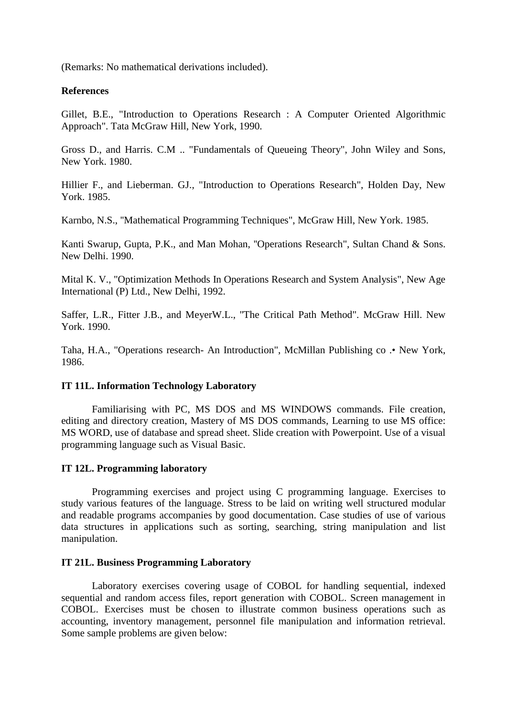(Remarks: No mathematical derivations included).

### **References**

Gillet, B.E., "Introduction to Operations Research : A Computer Oriented Algorithmic Approach". Tata McGraw Hill, New York, 1990.

Gross D., and Harris. C.M .. "Fundamentals of Queueing Theory", John Wiley and Sons, New York. 1980.

Hillier F., and Lieberman. GJ., "Introduction to Operations Research", Holden Day, New York. 1985.

Karnbo, N.S., ''Mathematical Programming Techniques", McGraw Hill, New York. 1985.

Kanti Swarup, Gupta, P.K., and Man Mohan, ''Operations Research", Sultan Chand & Sons. New Delhi. 1990.

Mital K. V., "Optimization Methods In Operations Research and System Analysis", New Age International (P) Ltd., New Delhi, 1992.

Saffer, L.R., Fitter J.B., and MeyerW.L., ''The Critical Path Method". McGraw Hill. New York. 1990.

Taha, H.A., "Operations research- An Introduction", McMillan Publishing co .• New York, 1986.

## **IT 11L. Information Technology Laboratory**

Familiarising with PC, MS DOS and MS WINDOWS commands. File creation, editing and directory creation, Mastery of MS DOS commands, Learning to use MS office: MS WORD, use of database and spread sheet. Slide creation with Powerpoint. Use of a visual programming language such as Visual Basic.

#### **IT 12L. Programming laboratory**

Programming exercises and project using C programming language. Exercises to study various features of the language. Stress to be laid on writing well structured modular and readable programs accompanies by good documentation. Case studies of use of various data structures in applications such as sorting, searching, string manipulation and list manipulation.

#### **IT 21L. Business Programming Laboratory**

Laboratory exercises covering usage of COBOL for handling sequential, indexed sequential and random access files, report generation with COBOL. Screen management in COBOL. Exercises must be chosen to illustrate common business operations such as accounting, inventory management, personnel file manipulation and information retrieval. Some sample problems are given below: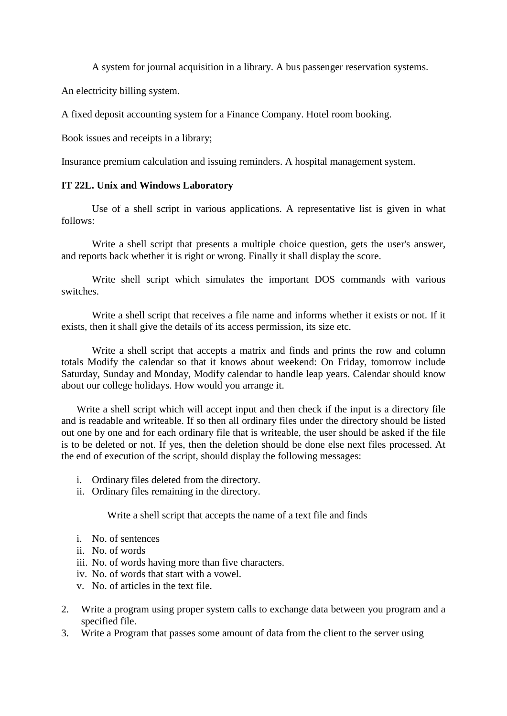A system for journal acquisition in a library. A bus passenger reservation systems.

An electricity billing system.

A fixed deposit accounting system for a Finance Company. Hotel room booking.

Book issues and receipts in a library;

Insurance premium calculation and issuing reminders. A hospital management system.

## **IT 22L. Unix and Windows Laboratory**

Use of a shell script in various applications. A representative list is given in what follows:

Write a shell script that presents a multiple choice question, gets the user's answer, and reports back whether it is right or wrong. Finally it shall display the score.

Write shell script which simulates the important DOS commands with various switches.

Write a shell script that receives a file name and informs whether it exists or not. If it exists, then it shall give the details of its access permission, its size etc.

Write a shell script that accepts a matrix and finds and prints the row and column totals Modify the calendar so that it knows about weekend: On Friday, tomorrow include Saturday, Sunday and Monday, Modify calendar to handle leap years. Calendar should know about our college holidays. How would you arrange it.

Write a shell script which will accept input and then check if the input is a directory file and is readable and writeable. If so then all ordinary files under the directory should be listed out one by one and for each ordinary file that is writeable, the user should be asked if the file is to be deleted or not. If yes, then the deletion should be done else next files processed. At the end of execution of the script, should display the following messages:

- i. Ordinary files deleted from the directory.
- ii. Ordinary files remaining in the directory.

Write a shell script that accepts the name of a text file and finds

- i. No. of sentences
- ii. No. of words
- iii. No. of words having more than five characters.
- iv. No. of words that start with a vowel.
- v. No. of articles in the text file.
- 2. Write a program using proper system calls to exchange data between you program and a specified file.
- 3. Write a Program that passes some amount of data from the client to the server using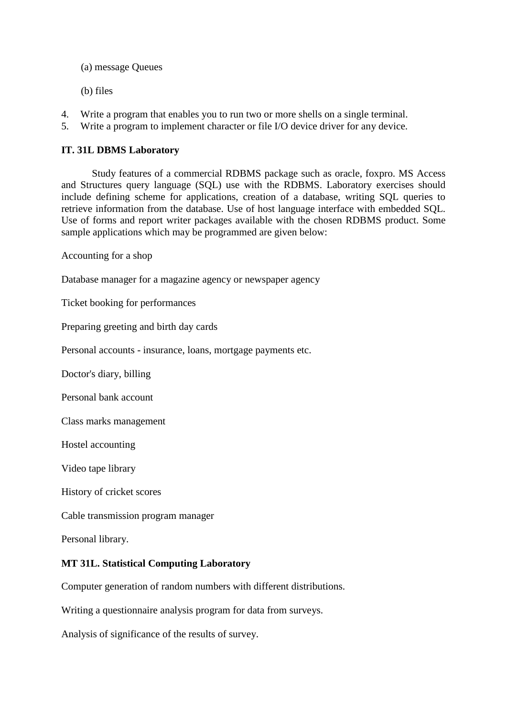(a) message Queues

(b) files

- 4. Write a program that enables you to run two or more shells on a single terminal.
- 5. Write a program to implement character or file I/O device driver for any device.

## **IT. 31L DBMS Laboratory**

Study features of a commercial RDBMS package such as oracle, foxpro. MS Access and Structures query language (SQL) use with the RDBMS. Laboratory exercises should include defining scheme for applications, creation of a database, writing SQL queries to retrieve information from the database. Use of host language interface with embedded SQL. Use of forms and report writer packages available with the chosen RDBMS product. Some sample applications which may be programmed are given below:

Accounting for a shop

Database manager for a magazine agency or newspaper agency

Ticket booking for performances

Preparing greeting and birth day cards

Personal accounts - insurance, loans, mortgage payments etc.

Doctor's diary, billing

Personal bank account

Class marks management

Hostel accounting

Video tape library

History of cricket scores

Cable transmission program manager

Personal library.

## **MT 31L. Statistical Computing Laboratory**

Computer generation of random numbers with different distributions.

Writing a questionnaire analysis program for data from surveys.

Analysis of significance of the results of survey.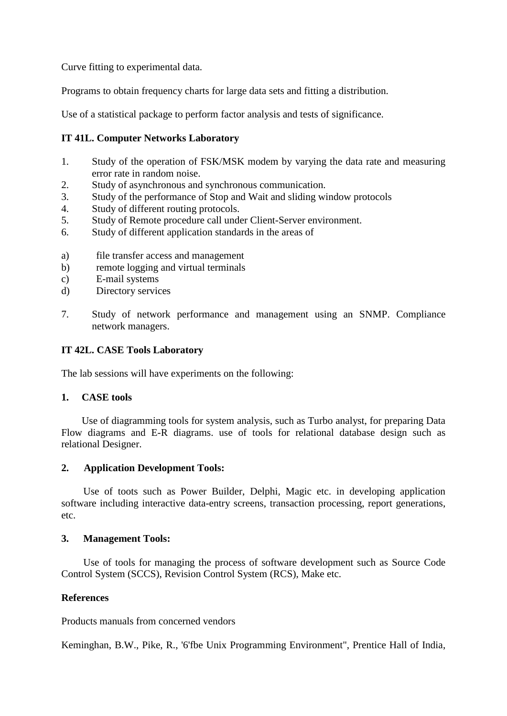Curve fitting to experimental data.

Programs to obtain frequency charts for large data sets and fitting a distribution.

Use of a statistical package to perform factor analysis and tests of significance.

## **IT 41L. Computer Networks Laboratory**

- 1. Study of the operation of FSK/MSK modem by varying the data rate and measuring error rate in random noise.
- 2. Study of asynchronous and synchronous communication.
- 3. Study of the performance of Stop and Wait and sliding window protocols
- 4. Study of different routing protocols.
- 5. Study of Remote procedure call under Client-Server environment.
- 6. Study of different application standards in the areas of
- a) file transfer access and management
- b) remote logging and virtual terminals
- c) E-mail systems
- d) Directory services
- 7. Study of network performance and management using an SNMP. Compliance network managers.

## **IT 42L. CASE Tools Laboratory**

The lab sessions will have experiments on the following:

## **1. CASE tools**

Use of diagramming tools for system analysis, such as Turbo analyst, for preparing Data Flow diagrams and E-R diagrams. use of tools for relational database design such as relational Designer.

## **2. Application Development Tools:**

Use of toots such as Power Builder, Delphi, Magic etc. in developing application software including interactive data-entry screens, transaction processing, report generations, etc.

## **3. Management Tools:**

Use of tools for managing the process of software development such as Source Code Control System (SCCS), Revision Control System (RCS), Make etc.

## **References**

Products manuals from concerned vendors

Keminghan, B.W., Pike, R., '6'fbe Unix Programming Environment", Prentice Hall of India,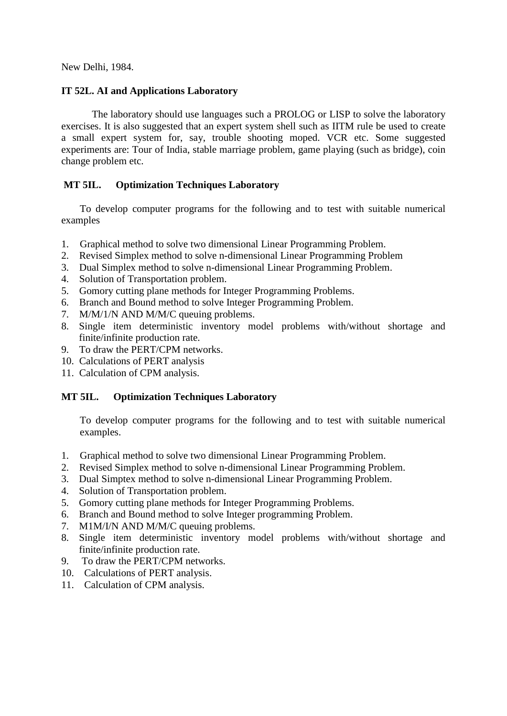New Delhi, 1984.

## **IT 52L. AI and Applications Laboratory**

The laboratory should use languages such a PROLOG or LISP to solve the laboratory exercises. It is also suggested that an expert system shell such as IITM rule be used to create a small expert system for, say, trouble shooting moped. VCR etc. Some suggested experiments are: Tour of India, stable marriage problem, game playing (such as bridge), coin change problem etc.

## **MT 5IL. Optimization Techniques Laboratory**

To develop computer programs for the following and to test with suitable numerical examples

- 1. Graphical method to solve two dimensional Linear Programming Problem.
- 2. Revised Simplex method to solve n-dimensional Linear Programming Problem
- 3. Dual Simplex method to solve n-dimensional Linear Programming Problem.
- 4. Solution of Transportation problem.
- 5. Gomory cutting plane methods for Integer Programming Problems.
- 6. Branch and Bound method to solve Integer Programming Problem.
- 7. M/M/1/N AND M/M/C queuing problems.
- 8. Single item deterministic inventory model problems with/without shortage and finite/infinite production rate.
- 9. To draw the PERT/CPM networks.
- 10. Calculations of PERT analysis
- 11. Calculation of CPM analysis.

## **MT 5IL. Optimization Techniques Laboratory**

To develop computer programs for the following and to test with suitable numerical examples.

- 1. Graphical method to solve two dimensional Linear Programming Problem.
- 2. Revised Simplex method to solve n-dimensional Linear Programming Problem.
- 3. Dual Simptex method to solve n-dimensional Linear Programming Problem.
- 4. Solution of Transportation problem.
- 5. Gomory cutting plane methods for Integer Programming Problems.
- 6. Branch and Bound method to solve Integer programming Problem.
- 7. M1M/I/N AND M/M/C queuing problems.
- 8. Single item deterministic inventory model problems with/without shortage and finite/infinite production rate.
- 9. To draw the PERT/CPM networks.
- 10. Calculations of PERT analysis.
- 11. Calculation of CPM analysis.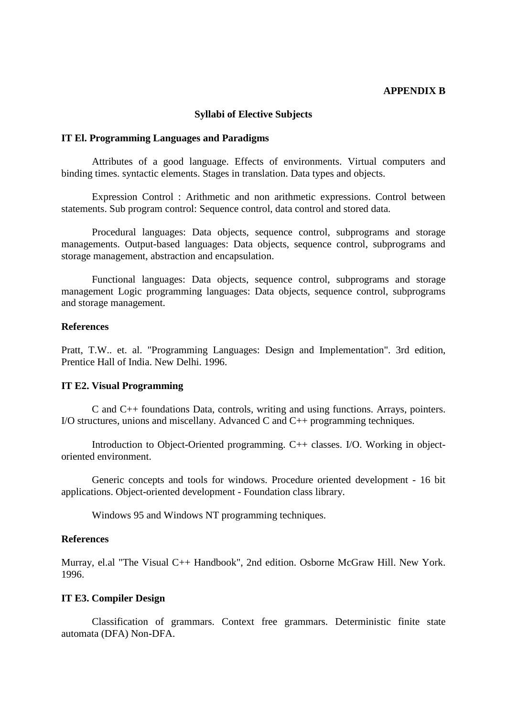#### **APPENDIX B**

#### **Syllabi of Elective Subjects**

#### **IT El. Programming Languages and Paradigms**

Attributes of a good language. Effects of environments. Virtual computers and binding times. syntactic elements. Stages in translation. Data types and objects.

Expression Control : Arithmetic and non arithmetic expressions. Control between statements. Sub program control: Sequence control, data control and stored data.

Procedural languages: Data objects, sequence control, subprograms and storage managements. Output-based languages: Data objects, sequence control, subprograms and storage management, abstraction and encapsulation.

Functional languages: Data objects, sequence control, subprograms and storage management Logic programming languages: Data objects, sequence control, subprograms and storage management.

#### **References**

Pratt, T.W.. et. al. "Programming Languages: Design and Implementation". 3rd edition, Prentice Hall of India. New Delhi. 1996.

#### **IT E2. Visual Programming**

C and C++ foundations Data, controls, writing and using functions. Arrays, pointers. I/O structures, unions and miscellany. Advanced C and C++ programming techniques.

Introduction to Object-Oriented programming. C++ classes. I/O. Working in objectoriented environment.

Generic concepts and tools for windows. Procedure oriented development - 16 bit applications. Object-oriented development - Foundation class library.

Windows 95 and Windows NT programming techniques.

### **References**

Murray, el.al "The Visual C++ Handbook", 2nd edition. Osborne McGraw Hill. New York. 1996.

#### **IT E3. Compiler Design**

Classification of grammars. Context free grammars. Deterministic finite state automata (DFA) Non-DFA.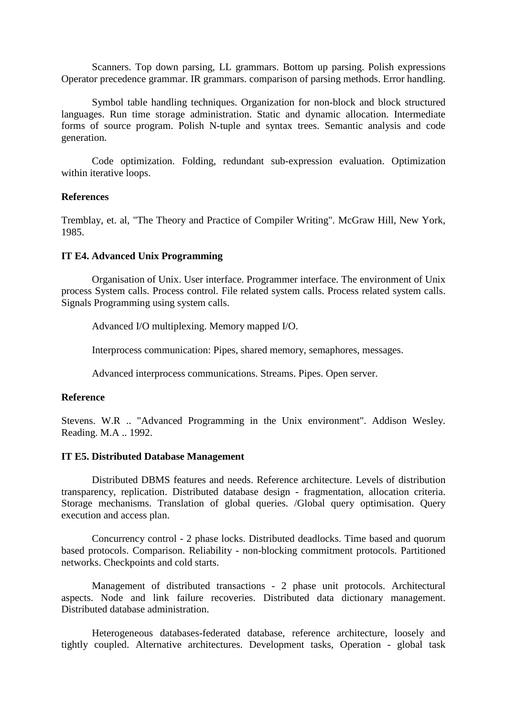Scanners. Top down parsing, LL grammars. Bottom up parsing. Polish expressions Operator precedence grammar. IR grammars. comparison of parsing methods. Error handling.

Symbol table handling techniques. Organization for non-block and block structured languages. Run time storage administration. Static and dynamic allocation. Intermediate forms of source program. Polish N-tuple and syntax trees. Semantic analysis and code generation.

Code optimization. Folding, redundant sub-expression evaluation. Optimization within iterative loops.

#### **References**

Tremblay, et. al, "The Theory and Practice of Compiler Writing". McGraw Hill, New York, 1985.

### **IT E4. Advanced Unix Programming**

Organisation of Unix. User interface. Programmer interface. The environment of Unix process System calls. Process control. File related system calls. Process related system calls. Signals Programming using system calls.

Advanced I/O multiplexing. Memory mapped I/O.

Interprocess communication: Pipes, shared memory, semaphores, messages.

Advanced interprocess communications. Streams. Pipes. Open server.

#### **Reference**

Stevens. W.R .. "Advanced Programming in the Unix environment". Addison Wesley. Reading. M.A .. 1992.

#### **IT E5. Distributed Database Management**

Distributed DBMS features and needs. Reference architecture. Levels of distribution transparency, replication. Distributed database design - fragmentation, allocation criteria. Storage mechanisms. Translation of global queries. /Global query optimisation. Query execution and access plan.

Concurrency control - 2 phase locks. Distributed deadlocks. Time based and quorum based protocols. Comparison. Reliability - non-blocking commitment protocols. Partitioned networks. Checkpoints and cold starts.

Management of distributed transactions - 2 phase unit protocols. Architectural aspects. Node and link failure recoveries. Distributed data dictionary management. Distributed database administration.

Heterogeneous databases-federated database, reference architecture, loosely and tightly coupled. Alternative architectures. Development tasks, Operation - global task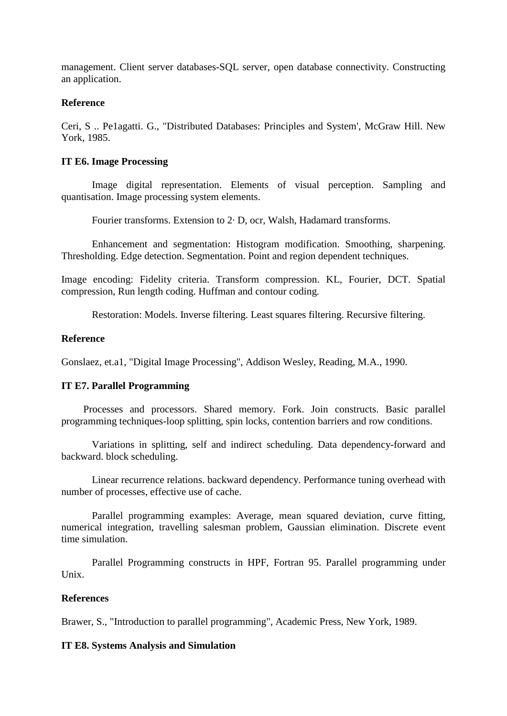management. Client server databases-SQL server, open database connectivity. Constructing an application.

## **Reference**

Ceri, S .. Pe1agatti. G., "Distributed Databases: Principles and System', McGraw Hill. New York, 1985.

## **IT E6. Image Processing**

Image digital representation. Elements of visual perception. Sampling and quantisation. Image processing system elements.

Fourier transforms. Extension to 2· D, ocr, Walsh, Hadamard transforms.

Enhancement and segmentation: Histogram modification. Smoothing, sharpening. Thresholding. Edge detection. Segmentation. Point and region dependent techniques.

Image encoding: Fidelity criteria. Transform compression. KL, Fourier, DCT. Spatial compression, Run length coding. Huffman and contour coding.

Restoration: Models. Inverse filtering. Least squares filtering. Recursive filtering.

## **Reference**

Gonslaez, et.a1, "Digital Image Processing", Addison Wesley, Reading, M.A., 1990.

## **IT E7. Parallel Programming**

Processes and processors. Shared memory. Fork. Join constructs. Basic parallel programming techniques-loop splitting, spin locks, contention barriers and row conditions.

Variations in splitting, self and indirect scheduling. Data dependency-forward and backward. block scheduling.

Linear recurrence relations. backward dependency. Performance tuning overhead with number of processes, effective use of cache.

Parallel programming examples: Average, mean squared deviation, curve fitting, numerical integration, travelling salesman problem, Gaussian elimination. Discrete event time simulation.

Parallel Programming constructs in HPF, Fortran 95. Parallel programming under Unix.

## **References**

Brawer, S., "Introduction to parallel programming", Academic Press, New York, 1989.

## **IT E8. Systems Analysis and Simulation**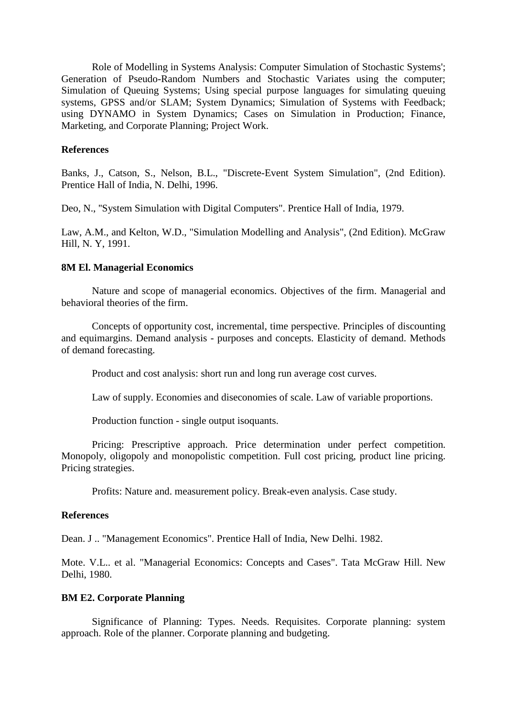Role of Modelling in Systems Analysis: Computer Simulation of Stochastic Systems'; Generation of Pseudo-Random Numbers and Stochastic Variates using the computer; Simulation of Queuing Systems; Using special purpose languages for simulating queuing systems, GPSS and/or SLAM; System Dynamics; Simulation of Systems with Feedback; using DYNAMO in System Dynamics; Cases on Simulation in Production; Finance, Marketing, and Corporate Planning; Project Work.

#### **References**

Banks, J., Catson, S., Nelson, B.L., "Discrete-Event System Simulation", (2nd Edition). Prentice Hall of India, N. Delhi, 1996.

Deo, N., ''System Simulation with Digital Computers". Prentice Hall of India, 1979.

Law, A.M., and Kelton, W.D., "Simulation Modelling and Analysis", (2nd Edition). McGraw Hill, N. Y, 1991.

#### **8M El. Managerial Economics**

Nature and scope of managerial economics. Objectives of the firm. Managerial and behavioral theories of the firm.

Concepts of opportunity cost, incremental, time perspective. Principles of discounting and equimargins. Demand analysis - purposes and concepts. Elasticity of demand. Methods of demand forecasting.

Product and cost analysis: short run and long run average cost curves.

Law of supply. Economies and diseconomies of scale. Law of variable proportions.

Production function - single output isoquants.

Pricing: Prescriptive approach. Price determination under perfect competition. Monopoly, oligopoly and monopolistic competition. Full cost pricing, product line pricing. Pricing strategies.

Profits: Nature and. measurement policy. Break-even analysis. Case study.

#### **References**

Dean. J .. "Management Economics". Prentice Hall of India, New Delhi. 1982.

Mote. V.L.. et al. "Managerial Economics: Concepts and Cases". Tata McGraw Hill. New Delhi, 1980.

#### **BM E2. Corporate Planning**

Significance of Planning: Types. Needs. Requisites. Corporate planning: system approach. Role of the planner. Corporate planning and budgeting.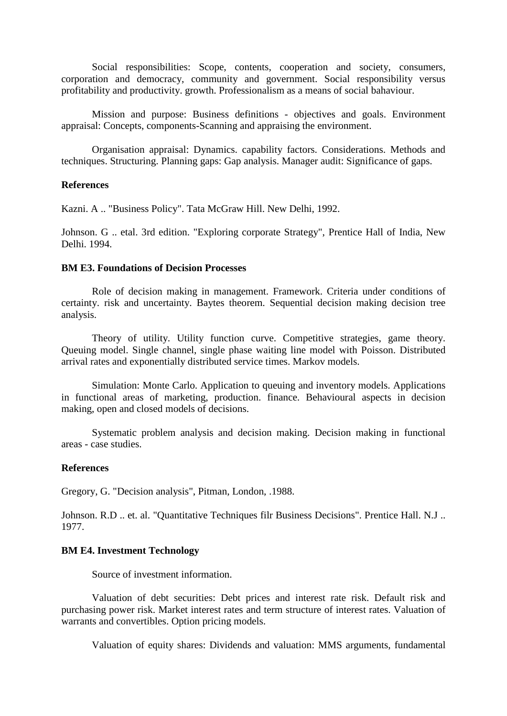Social responsibilities: Scope, contents, cooperation and society, consumers, corporation and democracy, community and government. Social responsibility versus profitability and productivity. growth. Professionalism as a means of social bahaviour.

Mission and purpose: Business definitions - objectives and goals. Environment appraisal: Concepts, components-Scanning and appraising the environment.

Organisation appraisal: Dynamics. capability factors. Considerations. Methods and techniques. Structuring. Planning gaps: Gap analysis. Manager audit: Significance of gaps.

## **References**

Kazni. A .. "Business Policy". Tata McGraw Hill. New Delhi, 1992.

Johnson. G .. etal. 3rd edition. "Exploring corporate Strategy", Prentice Hall of India, New Delhi. 1994.

## **BM E3. Foundations of Decision Processes**

Role of decision making in management. Framework. Criteria under conditions of certainty. risk and uncertainty. Baytes theorem. Sequential decision making decision tree analysis.

Theory of utility. Utility function curve. Competitive strategies, game theory. Queuing model. Single channel, single phase waiting line model with Poisson. Distributed arrival rates and exponentially distributed service times. Markov models.

Simulation: Monte Carlo. Application to queuing and inventory models. Applications in functional areas of marketing, production. finance. Behavioural aspects in decision making, open and closed models of decisions.

Systematic problem analysis and decision making. Decision making in functional areas - case studies.

#### **References**

Gregory, G. "Decision analysis", Pitman, London, .1988.

Johnson. R.D .. et. al. "Quantitative Techniques filr Business Decisions". Prentice Hall. N.J .. 1977.

#### **BM E4. Investment Technology**

Source of investment information.

Valuation of debt securities: Debt prices and interest rate risk. Default risk and purchasing power risk. Market interest rates and term structure of interest rates. Valuation of warrants and convertibles. Option pricing models.

Valuation of equity shares: Dividends and valuation: MMS arguments, fundamental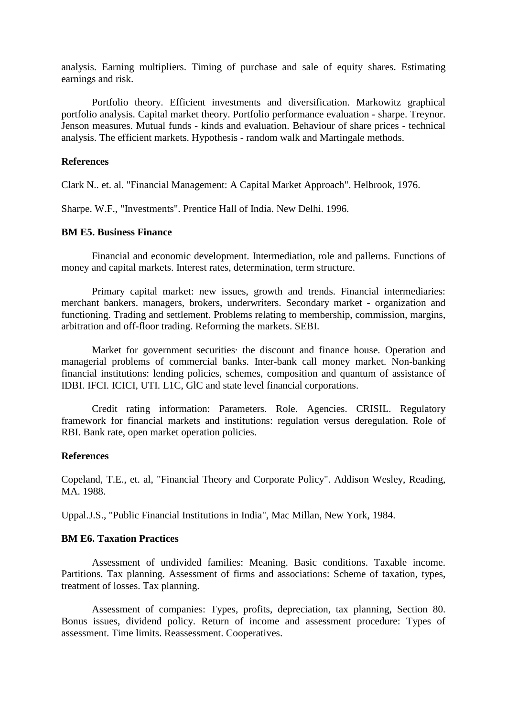analysis. Earning multipliers. Timing of purchase and sale of equity shares. Estimating earnings and risk.

Portfolio theory. Efficient investments and diversification. Markowitz graphical portfolio analysis. Capital market theory. Portfolio performance evaluation - sharpe. Treynor. Jenson measures. Mutual funds - kinds and evaluation. Behaviour of share prices - technical analysis. The efficient markets. Hypothesis - random walk and Martingale methods.

#### **References**

Clark N.. et. al. "Financial Management: A Capital Market Approach". Helbrook, 1976.

Sharpe. W.F., "Investments". Prentice Hall of India. New Delhi. 1996.

### **BM E5. Business Finance**

Financial and economic development. Intermediation, role and pallerns. Functions of money and capital markets. Interest rates, determination, term structure.

Primary capital market: new issues, growth and trends. Financial intermediaries: merchant bankers. managers, brokers, underwriters. Secondary market - organization and functioning. Trading and settlement. Problems relating to membership, commission, margins, arbitration and off-floor trading. Reforming the markets. SEBI.

Market for government securities the discount and finance house. Operation and managerial problems of commercial banks. Inter-bank call money market. Non-banking financial institutions: lending policies, schemes, composition and quantum of assistance of IDBI. IFCI. ICICI, UTI. L1C, GlC and state level financial corporations.

Credit rating information: Parameters. Role. Agencies. CRISIL. Regulatory framework for financial markets and institutions: regulation versus deregulation. Role of RBI. Bank rate, open market operation policies.

#### **References**

Copeland, T.E., et. al, "Financial Theory and Corporate Policy". Addison Wesley, Reading, MA. 1988.

Uppal.J.S., "Public Financial Institutions in India", Mac Millan, New York, 1984.

### **BM E6. Taxation Practices**

Assessment of undivided families: Meaning. Basic conditions. Taxable income. Partitions. Tax planning. Assessment of firms and associations: Scheme of taxation, types, treatment of losses. Tax planning.

Assessment of companies: Types, profits, depreciation, tax planning, Section 80. Bonus issues, dividend policy. Return of income and assessment procedure: Types of assessment. Time limits. Reassessment. Cooperatives.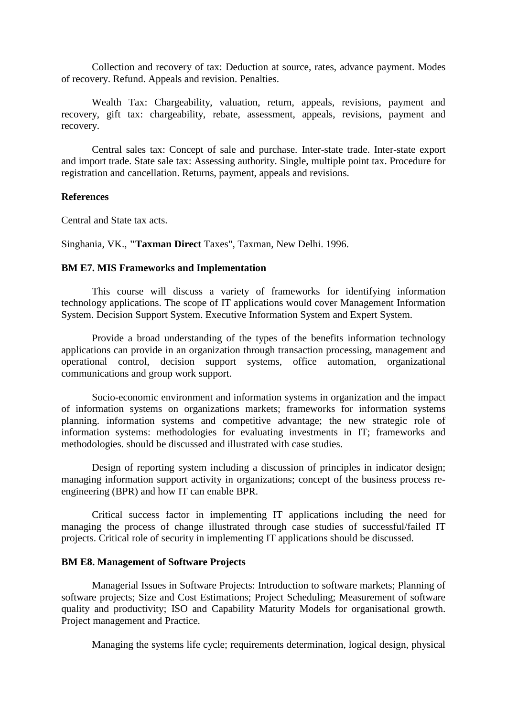Collection and recovery of tax: Deduction at source, rates, advance payment. Modes of recovery. Refund. Appeals and revision. Penalties.

Wealth Tax: Chargeability, valuation, return, appeals, revisions, payment and recovery, gift tax: chargeability, rebate, assessment, appeals, revisions, payment and recovery.

Central sales tax: Concept of sale and purchase. Inter-state trade. Inter-state export and import trade. State sale tax: Assessing authority. Single, multiple point tax. Procedure for registration and cancellation. Returns, payment, appeals and revisions.

#### **References**

Central and State tax acts.

Singhania, VK., **"Taxman Direct** Taxes", Taxman, New Delhi. 1996.

#### **BM E7. MIS Frameworks and Implementation**

This course will discuss a variety of frameworks for identifying information technology applications. The scope of IT applications would cover Management Information System. Decision Support System. Executive Information System and Expert System.

Provide a broad understanding of the types of the benefits information technology applications can provide in an organization through transaction processing, management and operational control, decision support systems, office automation, organizational communications and group work support.

Socio-economic environment and information systems in organization and the impact of information systems on organizations markets; frameworks for information systems planning. information systems and competitive advantage; the new strategic role of information systems: methodologies for evaluating investments in IT; frameworks and methodologies. should be discussed and illustrated with case studies.

Design of reporting system including a discussion of principles in indicator design; managing information support activity in organizations; concept of the business process reengineering (BPR) and how IT can enable BPR.

Critical success factor in implementing IT applications including the need for managing the process of change illustrated through case studies of successful/failed IT projects. Critical role of security in implementing IT applications should be discussed.

#### **BM E8. Management of Software Projects**

Managerial Issues in Software Projects: Introduction to software markets; Planning of software projects; Size and Cost Estimations; Project Scheduling; Measurement of software quality and productivity; ISO and Capability Maturity Models for organisational growth. Project management and Practice.

Managing the systems life cycle; requirements determination, logical design, physical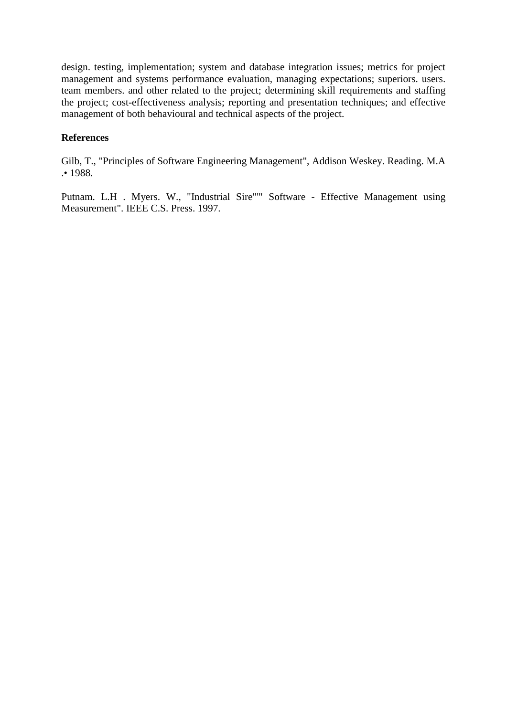design. testing, implementation; system and database integration issues; metrics for project management and systems performance evaluation, managing expectations; superiors. users. team members. and other related to the project; determining skill requirements and staffing the project; cost-effectiveness analysis; reporting and presentation techniques; and effective management of both behavioural and technical aspects of the project.

## **References**

Gilb, T., "Principles of Software Engineering Management", Addison Weskey. Reading. M.A .• 1988.

Putnam. L.H . Myers. W., "Industrial Sire"'" Software - Effective Management using Measurement". IEEE C.S. Press. 1997.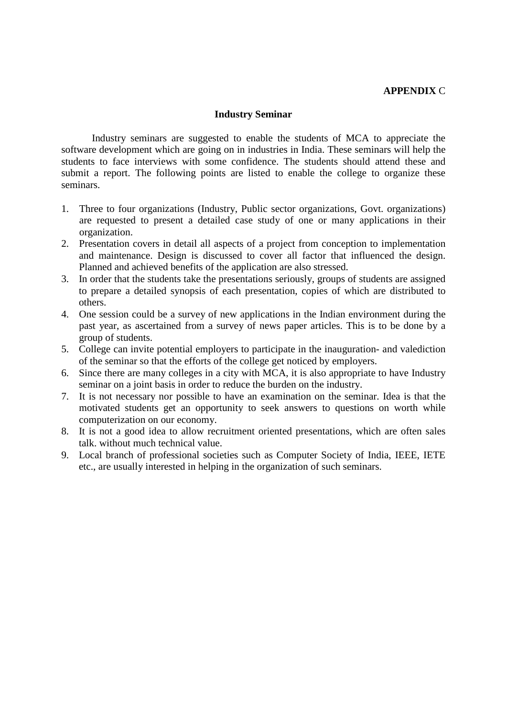### **APPENDIX** C

### **Industry Seminar**

Industry seminars are suggested to enable the students of MCA to appreciate the software development which are going on in industries in India. These seminars will help the students to face interviews with some confidence. The students should attend these and submit a report. The following points are listed to enable the college to organize these seminars.

- 1. Three to four organizations (Industry, Public sector organizations, Govt. organizations) are requested to present a detailed case study of one or many applications in their organization.
- 2. Presentation covers in detail all aspects of a project from conception to implementation and maintenance. Design is discussed to cover all factor that influenced the design. Planned and achieved benefits of the application are also stressed.
- 3. In order that the students take the presentations seriously, groups of students are assigned to prepare a detailed synopsis of each presentation, copies of which are distributed to others.
- 4. One session could be a survey of new applications in the Indian environment during the past year, as ascertained from a survey of news paper articles. This is to be done by a group of students.
- 5. College can invite potential employers to participate in the inauguration- and valediction of the seminar so that the efforts of the college get noticed by employers.
- 6. Since there are many colleges in a city with MCA, it is also appropriate to have Industry seminar on a joint basis in order to reduce the burden on the industry.
- 7. It is not necessary nor possible to have an examination on the seminar. Idea is that the motivated students get an opportunity to seek answers to questions on worth while computerization on our economy.
- 8. It is not a good idea to allow recruitment oriented presentations, which are often sales talk. without much technical value.
- 9. Local branch of professional societies such as Computer Society of India, IEEE, IETE etc., are usually interested in helping in the organization of such seminars.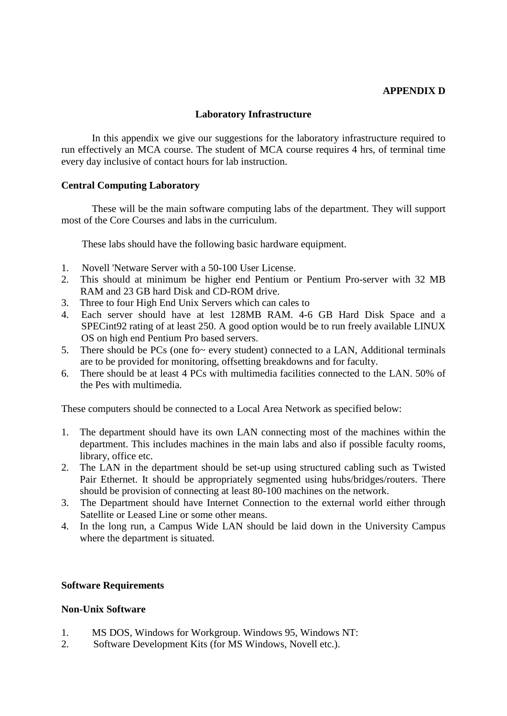## **APPENDIX D**

## **Laboratory Infrastructure**

In this appendix we give our suggestions for the laboratory infrastructure required to run effectively an MCA course. The student of MCA course requires 4 hrs, of terminal time every day inclusive of contact hours for lab instruction.

## **Central Computing Laboratory**

These will be the main software computing labs of the department. They will support most of the Core Courses and labs in the curriculum.

These labs should have the following basic hardware equipment.

- 1. Novell 'Netware Server with a 50-100 User License.
- 2. This should at minimum be higher end Pentium or Pentium Pro-server with 32 MB RAM and 23 GB hard Disk and CD-ROM drive.
- 3. Three to four High End Unix Servers which can cales to
- 4. Each server should have at lest 128MB RAM. 4-6 GB Hard Disk Space and a SPECint92 rating of at least 250. A good option would be to run freely available LINUX OS on high end Pentium Pro based servers.
- 5. There should be PCs (one fo~ every student) connected to a LAN, Additional terminals are to be provided for monitoring, offsetting breakdowns and for faculty.
- 6. There should be at least 4 PCs with multimedia facilities connected to the LAN. 50% of the Pes with multimedia.

These computers should be connected to a Local Area Network as specified below:

- 1. The department should have its own LAN connecting most of the machines within the department. This includes machines in the main labs and also if possible faculty rooms, library, office etc.
- 2. The LAN in the department should be set-up using structured cabling such as Twisted Pair Ethernet. It should be appropriately segmented using hubs/bridges/routers. There should be provision of connecting at least 80-100 machines on the network.
- 3. The Department should have Internet Connection to the external world either through Satellite or Leased Line or some other means.
- 4. In the long run, a Campus Wide LAN should be laid down in the University Campus where the department is situated.

#### **Software Requirements**

## **Non-Unix Software**

- 1. MS DOS, Windows for Workgroup. Windows 95, Windows NT:
- 2. Software Development Kits (for MS Windows, Novell etc.).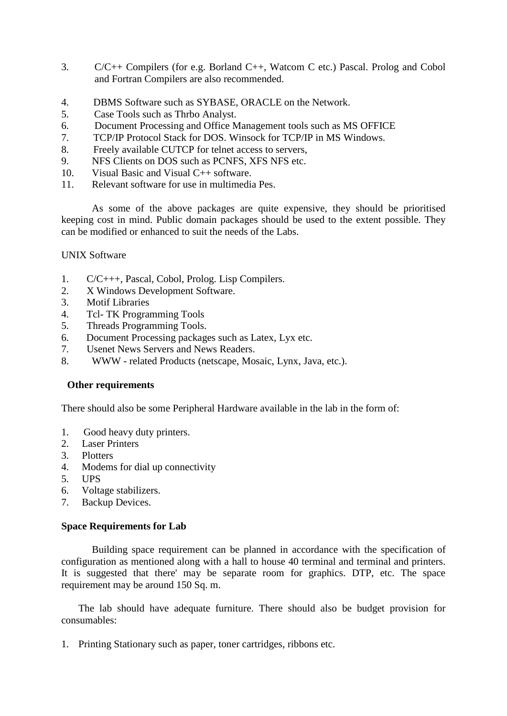- 3. C/C++ Compilers (for e.g. Borland C++, Watcom C etc.) Pascal. Prolog and Cobol and Fortran Compilers are also recommended.
- 4. DBMS Software such as SYBASE, ORACLE on the Network.
- 5. Case Tools such as Thrbo Analyst.
- 6. Document Processing and Office Management tools such as MS OFFICE
- 7. TCP/IP Protocol Stack for DOS. Winsock for TCP/IP in MS Windows.
- 8. Freely available CUTCP for telnet access to servers,
- 9. NFS Clients on DOS such as PCNFS, XFS NFS etc.
- 10. Visual Basic and Visual C++ software.
- 11. Relevant software for use in multimedia Pes.

As some of the above packages are quite expensive, they should be prioritised keeping cost in mind. Public domain packages should be used to the extent possible. They can be modified or enhanced to suit the needs of the Labs.

## UNIX Software

- 1. C/C+++, Pascal, Cobol, Prolog. Lisp Compilers.
- 2. X Windows Development Software.
- 3. Motif Libraries
- 4. Tcl- TK Programming Tools
- 5. Threads Programming Tools.
- 6. Document Processing packages such as Latex, Lyx etc.
- 7. Usenet News Servers and News Readers.
- 8. WWW related Products (netscape, Mosaic, Lynx, Java, etc.).

## **Other requirements**

There should also be some Peripheral Hardware available in the lab in the form of:

- 1. Good heavy duty printers.
- 2. Laser Printers
- 3. Plotters<br>4. Modems
- Modems for dial up connectivity
- 5. UPS
- 6. Voltage stabilizers.
- 7. Backup Devices.

## **Space Requirements for Lab**

Building space requirement can be planned in accordance with the specification of configuration as mentioned along with a hall to house 40 terminal and terminal and printers. It is suggested that there' may be separate room for graphics. DTP, etc. The space requirement may be around 150 Sq. m.

The lab should have adequate furniture. There should also be budget provision for consumables:

1. Printing Stationary such as paper, toner cartridges, ribbons etc.